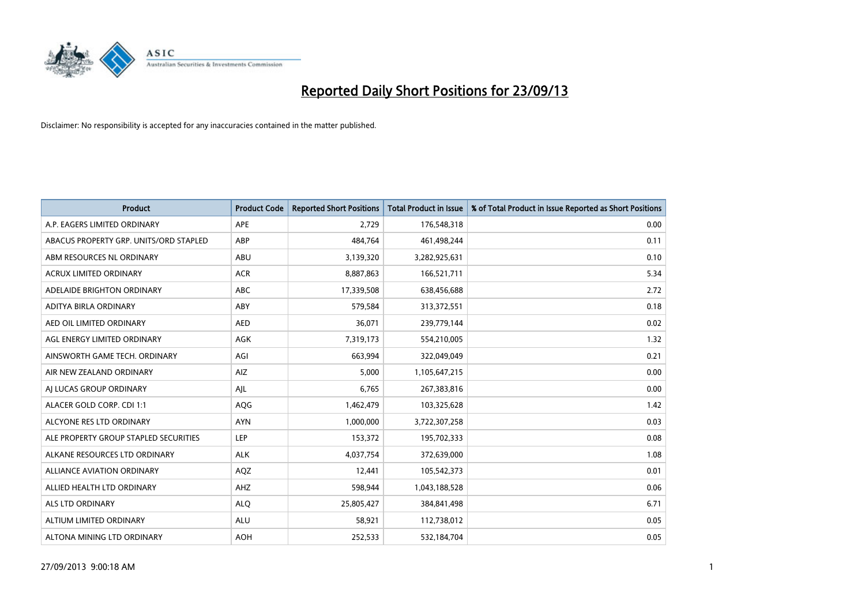

| <b>Product</b>                         | <b>Product Code</b> | <b>Reported Short Positions</b> | <b>Total Product in Issue</b> | % of Total Product in Issue Reported as Short Positions |
|----------------------------------------|---------------------|---------------------------------|-------------------------------|---------------------------------------------------------|
| A.P. EAGERS LIMITED ORDINARY           | APE                 | 2,729                           | 176,548,318                   | 0.00                                                    |
| ABACUS PROPERTY GRP. UNITS/ORD STAPLED | ABP                 | 484,764                         | 461,498,244                   | 0.11                                                    |
| ABM RESOURCES NL ORDINARY              | ABU                 | 3,139,320                       | 3,282,925,631                 | 0.10                                                    |
| ACRUX LIMITED ORDINARY                 | <b>ACR</b>          | 8,887,863                       | 166,521,711                   | 5.34                                                    |
| ADELAIDE BRIGHTON ORDINARY             | <b>ABC</b>          | 17,339,508                      | 638,456,688                   | 2.72                                                    |
| ADITYA BIRLA ORDINARY                  | ABY                 | 579,584                         | 313,372,551                   | 0.18                                                    |
| AED OIL LIMITED ORDINARY               | <b>AED</b>          | 36,071                          | 239,779,144                   | 0.02                                                    |
| AGL ENERGY LIMITED ORDINARY            | AGK                 | 7,319,173                       | 554,210,005                   | 1.32                                                    |
| AINSWORTH GAME TECH. ORDINARY          | AGI                 | 663,994                         | 322,049,049                   | 0.21                                                    |
| AIR NEW ZEALAND ORDINARY               | <b>AIZ</b>          | 5,000                           | 1,105,647,215                 | 0.00                                                    |
| AI LUCAS GROUP ORDINARY                | AJL                 | 6,765                           | 267,383,816                   | 0.00                                                    |
| ALACER GOLD CORP. CDI 1:1              | AQG                 | 1,462,479                       | 103,325,628                   | 1.42                                                    |
| ALCYONE RES LTD ORDINARY               | <b>AYN</b>          | 1,000,000                       | 3,722,307,258                 | 0.03                                                    |
| ALE PROPERTY GROUP STAPLED SECURITIES  | LEP                 | 153,372                         | 195,702,333                   | 0.08                                                    |
| ALKANE RESOURCES LTD ORDINARY          | <b>ALK</b>          | 4,037,754                       | 372,639,000                   | 1.08                                                    |
| ALLIANCE AVIATION ORDINARY             | AQZ                 | 12,441                          | 105,542,373                   | 0.01                                                    |
| ALLIED HEALTH LTD ORDINARY             | AHZ                 | 598,944                         | 1,043,188,528                 | 0.06                                                    |
| <b>ALS LTD ORDINARY</b>                | <b>ALQ</b>          | 25,805,427                      | 384,841,498                   | 6.71                                                    |
| ALTIUM LIMITED ORDINARY                | <b>ALU</b>          | 58,921                          | 112,738,012                   | 0.05                                                    |
| ALTONA MINING LTD ORDINARY             | <b>AOH</b>          | 252,533                         | 532,184,704                   | 0.05                                                    |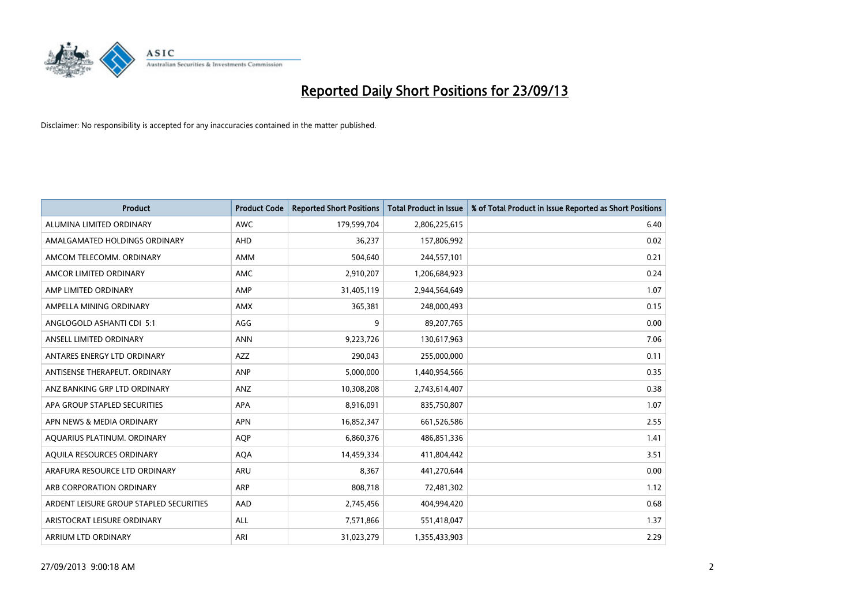

| <b>Product</b>                          | <b>Product Code</b> | <b>Reported Short Positions</b> | <b>Total Product in Issue</b> | % of Total Product in Issue Reported as Short Positions |
|-----------------------------------------|---------------------|---------------------------------|-------------------------------|---------------------------------------------------------|
| ALUMINA LIMITED ORDINARY                | <b>AWC</b>          | 179,599,704                     | 2,806,225,615                 | 6.40                                                    |
| AMALGAMATED HOLDINGS ORDINARY           | AHD                 | 36,237                          | 157,806,992                   | 0.02                                                    |
| AMCOM TELECOMM, ORDINARY                | AMM                 | 504,640                         | 244,557,101                   | 0.21                                                    |
| AMCOR LIMITED ORDINARY                  | AMC                 | 2,910,207                       | 1,206,684,923                 | 0.24                                                    |
| AMP LIMITED ORDINARY                    | AMP                 | 31,405,119                      | 2,944,564,649                 | 1.07                                                    |
| AMPELLA MINING ORDINARY                 | <b>AMX</b>          | 365,381                         | 248,000,493                   | 0.15                                                    |
| ANGLOGOLD ASHANTI CDI 5:1               | AGG                 | 9                               | 89,207,765                    | 0.00                                                    |
| ANSELL LIMITED ORDINARY                 | <b>ANN</b>          | 9,223,726                       | 130,617,963                   | 7.06                                                    |
| ANTARES ENERGY LTD ORDINARY             | <b>AZZ</b>          | 290,043                         | 255,000,000                   | 0.11                                                    |
| ANTISENSE THERAPEUT, ORDINARY           | ANP                 | 5,000,000                       | 1,440,954,566                 | 0.35                                                    |
| ANZ BANKING GRP LTD ORDINARY            | ANZ                 | 10,308,208                      | 2,743,614,407                 | 0.38                                                    |
| APA GROUP STAPLED SECURITIES            | APA                 | 8,916,091                       | 835,750,807                   | 1.07                                                    |
| APN NEWS & MEDIA ORDINARY               | <b>APN</b>          | 16,852,347                      | 661,526,586                   | 2.55                                                    |
| AQUARIUS PLATINUM. ORDINARY             | <b>AOP</b>          | 6,860,376                       | 486,851,336                   | 1.41                                                    |
| AQUILA RESOURCES ORDINARY               | <b>AQA</b>          | 14,459,334                      | 411,804,442                   | 3.51                                                    |
| ARAFURA RESOURCE LTD ORDINARY           | ARU                 | 8,367                           | 441,270,644                   | 0.00                                                    |
| ARB CORPORATION ORDINARY                | ARP                 | 808,718                         | 72,481,302                    | 1.12                                                    |
| ARDENT LEISURE GROUP STAPLED SECURITIES | AAD                 | 2,745,456                       | 404,994,420                   | 0.68                                                    |
| ARISTOCRAT LEISURE ORDINARY             | ALL                 | 7,571,866                       | 551,418,047                   | 1.37                                                    |
| ARRIUM LTD ORDINARY                     | ARI                 | 31,023,279                      | 1,355,433,903                 | 2.29                                                    |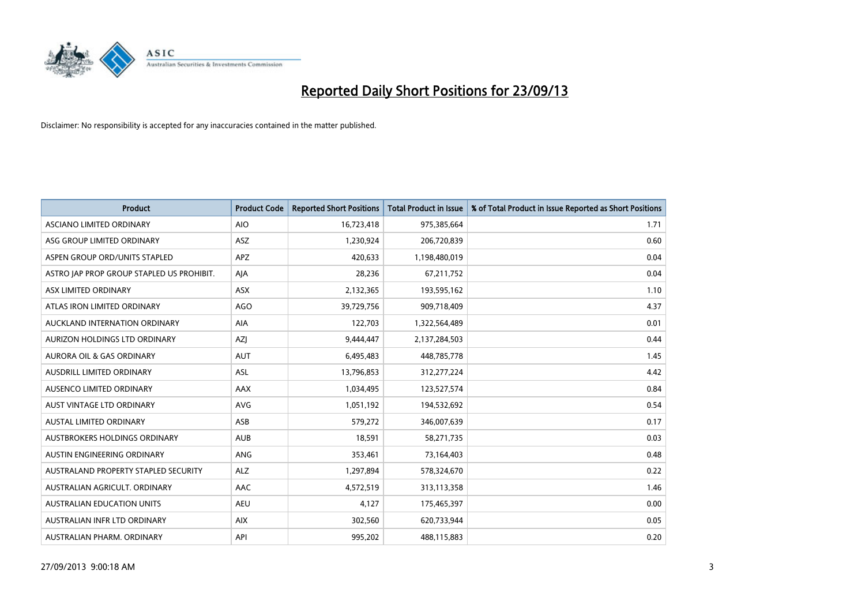

| <b>Product</b>                            | <b>Product Code</b> | <b>Reported Short Positions</b> | <b>Total Product in Issue</b> | % of Total Product in Issue Reported as Short Positions |
|-------------------------------------------|---------------------|---------------------------------|-------------------------------|---------------------------------------------------------|
| ASCIANO LIMITED ORDINARY                  | <b>AIO</b>          | 16,723,418                      | 975,385,664                   | 1.71                                                    |
| ASG GROUP LIMITED ORDINARY                | ASZ                 | 1,230,924                       | 206,720,839                   | 0.60                                                    |
| ASPEN GROUP ORD/UNITS STAPLED             | <b>APZ</b>          | 420,633                         | 1,198,480,019                 | 0.04                                                    |
| ASTRO JAP PROP GROUP STAPLED US PROHIBIT. | AJA                 | 28,236                          | 67,211,752                    | 0.04                                                    |
| ASX LIMITED ORDINARY                      | ASX                 | 2,132,365                       | 193,595,162                   | 1.10                                                    |
| ATLAS IRON LIMITED ORDINARY               | <b>AGO</b>          | 39,729,756                      | 909,718,409                   | 4.37                                                    |
| AUCKLAND INTERNATION ORDINARY             | AIA                 | 122,703                         | 1,322,564,489                 | 0.01                                                    |
| AURIZON HOLDINGS LTD ORDINARY             | AZJ                 | 9,444,447                       | 2,137,284,503                 | 0.44                                                    |
| <b>AURORA OIL &amp; GAS ORDINARY</b>      | <b>AUT</b>          | 6,495,483                       | 448,785,778                   | 1.45                                                    |
| AUSDRILL LIMITED ORDINARY                 | <b>ASL</b>          | 13,796,853                      | 312,277,224                   | 4.42                                                    |
| AUSENCO LIMITED ORDINARY                  | AAX                 | 1,034,495                       | 123,527,574                   | 0.84                                                    |
| AUST VINTAGE LTD ORDINARY                 | AVG                 | 1,051,192                       | 194,532,692                   | 0.54                                                    |
| AUSTAL LIMITED ORDINARY                   | ASB                 | 579,272                         | 346,007,639                   | 0.17                                                    |
| AUSTBROKERS HOLDINGS ORDINARY             | <b>AUB</b>          | 18,591                          | 58,271,735                    | 0.03                                                    |
| AUSTIN ENGINEERING ORDINARY               | ANG                 | 353,461                         | 73,164,403                    | 0.48                                                    |
| AUSTRALAND PROPERTY STAPLED SECURITY      | <b>ALZ</b>          | 1,297,894                       | 578,324,670                   | 0.22                                                    |
| AUSTRALIAN AGRICULT. ORDINARY             | AAC                 | 4,572,519                       | 313,113,358                   | 1.46                                                    |
| <b>AUSTRALIAN EDUCATION UNITS</b>         | <b>AEU</b>          | 4,127                           | 175,465,397                   | 0.00                                                    |
| AUSTRALIAN INFR LTD ORDINARY              | <b>AIX</b>          | 302,560                         | 620,733,944                   | 0.05                                                    |
| AUSTRALIAN PHARM. ORDINARY                | API                 | 995,202                         | 488,115,883                   | 0.20                                                    |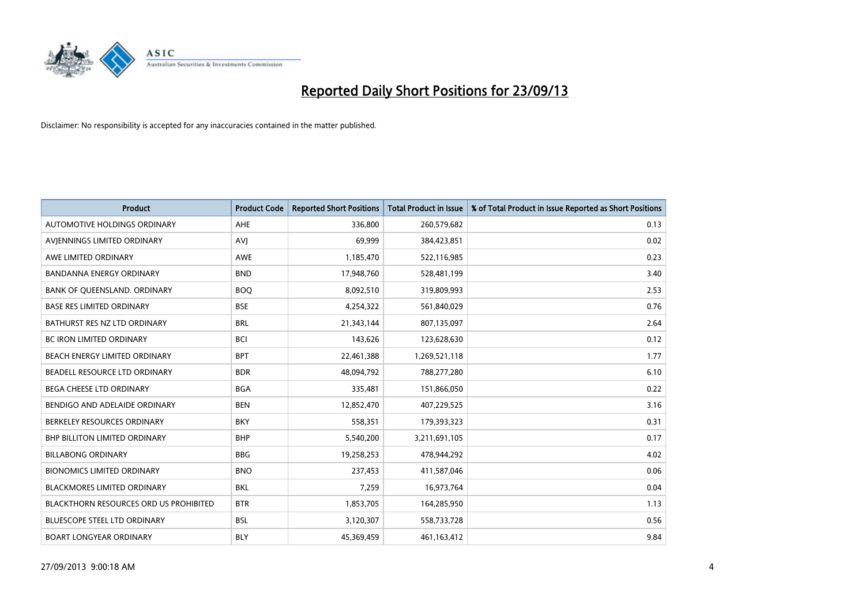

| <b>Product</b>                                | <b>Product Code</b> | <b>Reported Short Positions</b> | <b>Total Product in Issue</b> | % of Total Product in Issue Reported as Short Positions |
|-----------------------------------------------|---------------------|---------------------------------|-------------------------------|---------------------------------------------------------|
| AUTOMOTIVE HOLDINGS ORDINARY                  | <b>AHE</b>          | 336,800                         | 260,579,682                   | 0.13                                                    |
| AVIENNINGS LIMITED ORDINARY                   | <b>AVJ</b>          | 69,999                          | 384,423,851                   | 0.02                                                    |
| AWE LIMITED ORDINARY                          | <b>AWE</b>          | 1,185,470                       | 522,116,985                   | 0.23                                                    |
| <b>BANDANNA ENERGY ORDINARY</b>               | <b>BND</b>          | 17,948,760                      | 528,481,199                   | 3.40                                                    |
| BANK OF QUEENSLAND. ORDINARY                  | <b>BOQ</b>          | 8,092,510                       | 319,809,993                   | 2.53                                                    |
| <b>BASE RES LIMITED ORDINARY</b>              | <b>BSE</b>          | 4,254,322                       | 561,840,029                   | 0.76                                                    |
| BATHURST RES NZ LTD ORDINARY                  | <b>BRL</b>          | 21,343,144                      | 807,135,097                   | 2.64                                                    |
| BC IRON LIMITED ORDINARY                      | <b>BCI</b>          | 143,626                         | 123,628,630                   | 0.12                                                    |
| BEACH ENERGY LIMITED ORDINARY                 | <b>BPT</b>          | 22,461,388                      | 1,269,521,118                 | 1.77                                                    |
| BEADELL RESOURCE LTD ORDINARY                 | <b>BDR</b>          | 48,094,792                      | 788,277,280                   | 6.10                                                    |
| BEGA CHEESE LTD ORDINARY                      | <b>BGA</b>          | 335,481                         | 151,866,050                   | 0.22                                                    |
| BENDIGO AND ADELAIDE ORDINARY                 | <b>BEN</b>          | 12,852,470                      | 407,229,525                   | 3.16                                                    |
| BERKELEY RESOURCES ORDINARY                   | <b>BKY</b>          | 558,351                         | 179,393,323                   | 0.31                                                    |
| <b>BHP BILLITON LIMITED ORDINARY</b>          | <b>BHP</b>          | 5,540,200                       | 3,211,691,105                 | 0.17                                                    |
| <b>BILLABONG ORDINARY</b>                     | <b>BBG</b>          | 19,258,253                      | 478,944,292                   | 4.02                                                    |
| <b>BIONOMICS LIMITED ORDINARY</b>             | <b>BNO</b>          | 237,453                         | 411,587,046                   | 0.06                                                    |
| BLACKMORES LIMITED ORDINARY                   | <b>BKL</b>          | 7,259                           | 16,973,764                    | 0.04                                                    |
| <b>BLACKTHORN RESOURCES ORD US PROHIBITED</b> | <b>BTR</b>          | 1,853,705                       | 164,285,950                   | 1.13                                                    |
| <b>BLUESCOPE STEEL LTD ORDINARY</b>           | <b>BSL</b>          | 3,120,307                       | 558,733,728                   | 0.56                                                    |
| <b>BOART LONGYEAR ORDINARY</b>                | <b>BLY</b>          | 45,369,459                      | 461,163,412                   | 9.84                                                    |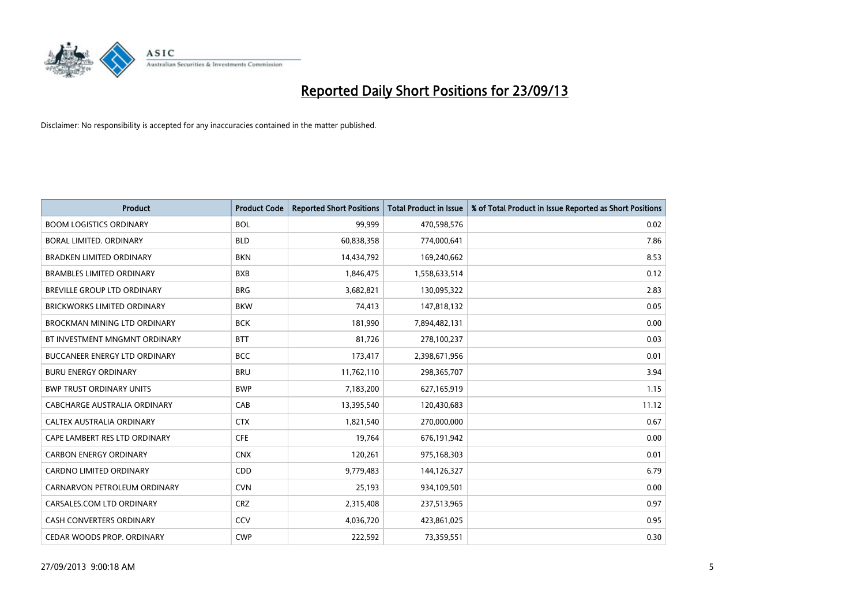

| <b>Product</b>                       | <b>Product Code</b> | <b>Reported Short Positions</b> | <b>Total Product in Issue</b> | % of Total Product in Issue Reported as Short Positions |
|--------------------------------------|---------------------|---------------------------------|-------------------------------|---------------------------------------------------------|
| <b>BOOM LOGISTICS ORDINARY</b>       | <b>BOL</b>          | 99,999                          | 470,598,576                   | 0.02                                                    |
| <b>BORAL LIMITED, ORDINARY</b>       | <b>BLD</b>          | 60,838,358                      | 774,000,641                   | 7.86                                                    |
| <b>BRADKEN LIMITED ORDINARY</b>      | <b>BKN</b>          | 14,434,792                      | 169,240,662                   | 8.53                                                    |
| <b>BRAMBLES LIMITED ORDINARY</b>     | <b>BXB</b>          | 1,846,475                       | 1,558,633,514                 | 0.12                                                    |
| <b>BREVILLE GROUP LTD ORDINARY</b>   | <b>BRG</b>          | 3,682,821                       | 130,095,322                   | 2.83                                                    |
| <b>BRICKWORKS LIMITED ORDINARY</b>   | <b>BKW</b>          | 74,413                          | 147,818,132                   | 0.05                                                    |
| BROCKMAN MINING LTD ORDINARY         | <b>BCK</b>          | 181,990                         | 7,894,482,131                 | 0.00                                                    |
| BT INVESTMENT MNGMNT ORDINARY        | <b>BTT</b>          | 81,726                          | 278,100,237                   | 0.03                                                    |
| <b>BUCCANEER ENERGY LTD ORDINARY</b> | <b>BCC</b>          | 173,417                         | 2,398,671,956                 | 0.01                                                    |
| <b>BURU ENERGY ORDINARY</b>          | <b>BRU</b>          | 11,762,110                      | 298,365,707                   | 3.94                                                    |
| <b>BWP TRUST ORDINARY UNITS</b>      | <b>BWP</b>          | 7,183,200                       | 627,165,919                   | 1.15                                                    |
| CABCHARGE AUSTRALIA ORDINARY         | CAB                 | 13,395,540                      | 120,430,683                   | 11.12                                                   |
| CALTEX AUSTRALIA ORDINARY            | <b>CTX</b>          | 1,821,540                       | 270,000,000                   | 0.67                                                    |
| CAPE LAMBERT RES LTD ORDINARY        | <b>CFE</b>          | 19,764                          | 676,191,942                   | 0.00                                                    |
| <b>CARBON ENERGY ORDINARY</b>        | <b>CNX</b>          | 120,261                         | 975,168,303                   | 0.01                                                    |
| <b>CARDNO LIMITED ORDINARY</b>       | CDD                 | 9,779,483                       | 144,126,327                   | 6.79                                                    |
| CARNARVON PETROLEUM ORDINARY         | <b>CVN</b>          | 25,193                          | 934,109,501                   | 0.00                                                    |
| CARSALES.COM LTD ORDINARY            | <b>CRZ</b>          | 2,315,408                       | 237,513,965                   | 0.97                                                    |
| <b>CASH CONVERTERS ORDINARY</b>      | CCV                 | 4,036,720                       | 423,861,025                   | 0.95                                                    |
| CEDAR WOODS PROP. ORDINARY           | <b>CWP</b>          | 222,592                         | 73,359,551                    | 0.30                                                    |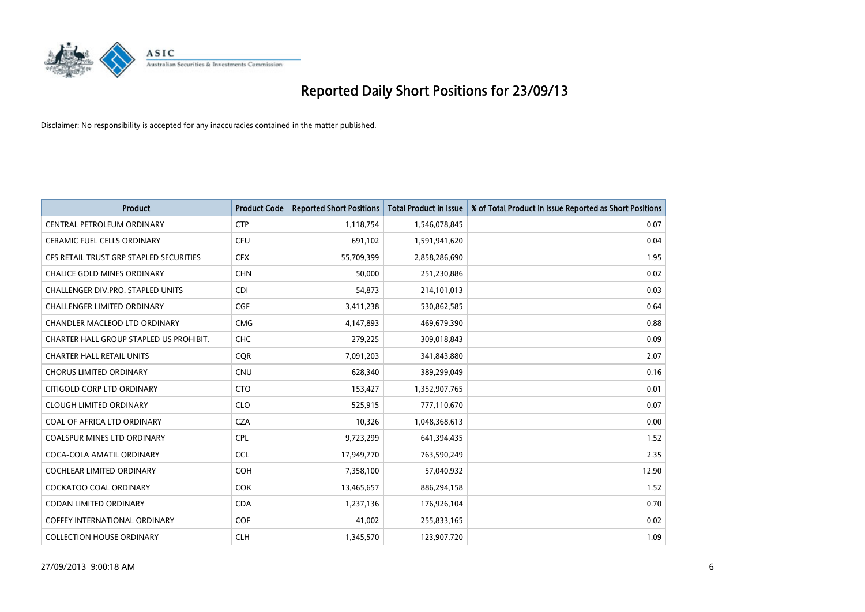

| <b>Product</b>                          | <b>Product Code</b> | <b>Reported Short Positions</b> | <b>Total Product in Issue</b> | % of Total Product in Issue Reported as Short Positions |
|-----------------------------------------|---------------------|---------------------------------|-------------------------------|---------------------------------------------------------|
| CENTRAL PETROLEUM ORDINARY              | <b>CTP</b>          | 1,118,754                       | 1,546,078,845                 | 0.07                                                    |
| CERAMIC FUEL CELLS ORDINARY             | <b>CFU</b>          | 691,102                         | 1,591,941,620                 | 0.04                                                    |
| CFS RETAIL TRUST GRP STAPLED SECURITIES | <b>CFX</b>          | 55,709,399                      | 2,858,286,690                 | 1.95                                                    |
| <b>CHALICE GOLD MINES ORDINARY</b>      | <b>CHN</b>          | 50,000                          | 251,230,886                   | 0.02                                                    |
| CHALLENGER DIV.PRO. STAPLED UNITS       | <b>CDI</b>          | 54,873                          | 214,101,013                   | 0.03                                                    |
| <b>CHALLENGER LIMITED ORDINARY</b>      | <b>CGF</b>          | 3,411,238                       | 530,862,585                   | 0.64                                                    |
| CHANDLER MACLEOD LTD ORDINARY           | <b>CMG</b>          | 4,147,893                       | 469,679,390                   | 0.88                                                    |
| CHARTER HALL GROUP STAPLED US PROHIBIT. | <b>CHC</b>          | 279,225                         | 309,018,843                   | 0.09                                                    |
| <b>CHARTER HALL RETAIL UNITS</b>        | <b>CQR</b>          | 7,091,203                       | 341,843,880                   | 2.07                                                    |
| <b>CHORUS LIMITED ORDINARY</b>          | <b>CNU</b>          | 628,340                         | 389,299,049                   | 0.16                                                    |
| CITIGOLD CORP LTD ORDINARY              | <b>CTO</b>          | 153,427                         | 1,352,907,765                 | 0.01                                                    |
| <b>CLOUGH LIMITED ORDINARY</b>          | <b>CLO</b>          | 525,915                         | 777,110,670                   | 0.07                                                    |
| COAL OF AFRICA LTD ORDINARY             | <b>CZA</b>          | 10,326                          | 1,048,368,613                 | 0.00                                                    |
| <b>COALSPUR MINES LTD ORDINARY</b>      | <b>CPL</b>          | 9,723,299                       | 641,394,435                   | 1.52                                                    |
| COCA-COLA AMATIL ORDINARY               | <b>CCL</b>          | 17,949,770                      | 763,590,249                   | 2.35                                                    |
| COCHLEAR LIMITED ORDINARY               | <b>COH</b>          | 7,358,100                       | 57,040,932                    | 12.90                                                   |
| COCKATOO COAL ORDINARY                  | <b>COK</b>          | 13,465,657                      | 886,294,158                   | 1.52                                                    |
| <b>CODAN LIMITED ORDINARY</b>           | <b>CDA</b>          | 1,237,136                       | 176,926,104                   | 0.70                                                    |
| <b>COFFEY INTERNATIONAL ORDINARY</b>    | <b>COF</b>          | 41,002                          | 255,833,165                   | 0.02                                                    |
| <b>COLLECTION HOUSE ORDINARY</b>        | <b>CLH</b>          | 1,345,570                       | 123,907,720                   | 1.09                                                    |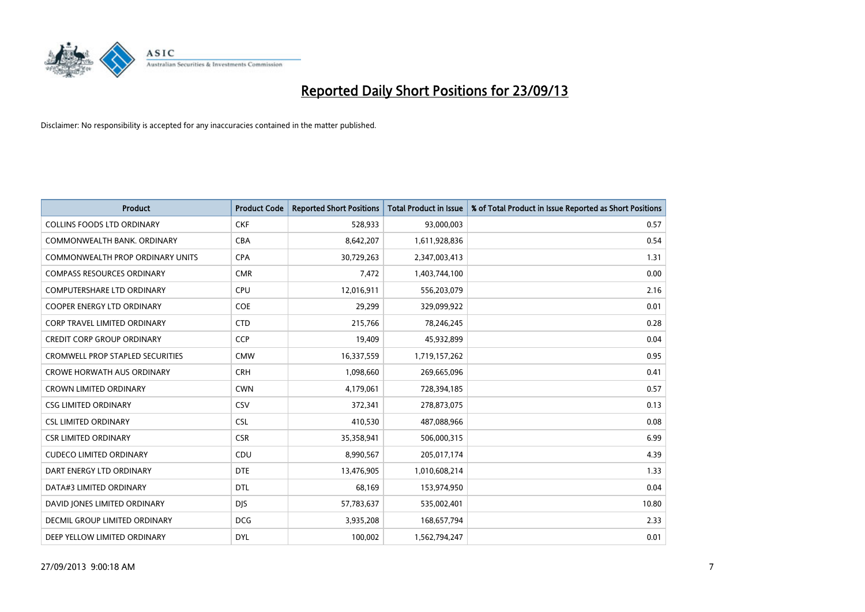

| <b>Product</b>                          | <b>Product Code</b> | <b>Reported Short Positions</b> | <b>Total Product in Issue</b> | % of Total Product in Issue Reported as Short Positions |
|-----------------------------------------|---------------------|---------------------------------|-------------------------------|---------------------------------------------------------|
| <b>COLLINS FOODS LTD ORDINARY</b>       | <b>CKF</b>          | 528,933                         | 93,000,003                    | 0.57                                                    |
| COMMONWEALTH BANK, ORDINARY             | <b>CBA</b>          | 8,642,207                       | 1,611,928,836                 | 0.54                                                    |
| <b>COMMONWEALTH PROP ORDINARY UNITS</b> | <b>CPA</b>          | 30,729,263                      | 2,347,003,413                 | 1.31                                                    |
| <b>COMPASS RESOURCES ORDINARY</b>       | <b>CMR</b>          | 7,472                           | 1,403,744,100                 | 0.00                                                    |
| <b>COMPUTERSHARE LTD ORDINARY</b>       | <b>CPU</b>          | 12,016,911                      | 556,203,079                   | 2.16                                                    |
| <b>COOPER ENERGY LTD ORDINARY</b>       | <b>COE</b>          | 29,299                          | 329,099,922                   | 0.01                                                    |
| <b>CORP TRAVEL LIMITED ORDINARY</b>     | <b>CTD</b>          | 215,766                         | 78,246,245                    | 0.28                                                    |
| <b>CREDIT CORP GROUP ORDINARY</b>       | <b>CCP</b>          | 19,409                          | 45,932,899                    | 0.04                                                    |
| <b>CROMWELL PROP STAPLED SECURITIES</b> | <b>CMW</b>          | 16,337,559                      | 1,719,157,262                 | 0.95                                                    |
| <b>CROWE HORWATH AUS ORDINARY</b>       | <b>CRH</b>          | 1,098,660                       | 269,665,096                   | 0.41                                                    |
| <b>CROWN LIMITED ORDINARY</b>           | <b>CWN</b>          | 4,179,061                       | 728,394,185                   | 0.57                                                    |
| <b>CSG LIMITED ORDINARY</b>             | CSV                 | 372,341                         | 278,873,075                   | 0.13                                                    |
| <b>CSL LIMITED ORDINARY</b>             | <b>CSL</b>          | 410,530                         | 487,088,966                   | 0.08                                                    |
| <b>CSR LIMITED ORDINARY</b>             | <b>CSR</b>          | 35,358,941                      | 506,000,315                   | 6.99                                                    |
| <b>CUDECO LIMITED ORDINARY</b>          | CDU                 | 8,990,567                       | 205,017,174                   | 4.39                                                    |
| DART ENERGY LTD ORDINARY                | <b>DTE</b>          | 13,476,905                      | 1,010,608,214                 | 1.33                                                    |
| DATA#3 LIMITED ORDINARY                 | DTL                 | 68,169                          | 153,974,950                   | 0.04                                                    |
| DAVID JONES LIMITED ORDINARY            | <b>DJS</b>          | 57,783,637                      | 535,002,401                   | 10.80                                                   |
| <b>DECMIL GROUP LIMITED ORDINARY</b>    | <b>DCG</b>          | 3,935,208                       | 168,657,794                   | 2.33                                                    |
| DEEP YELLOW LIMITED ORDINARY            | <b>DYL</b>          | 100,002                         | 1,562,794,247                 | 0.01                                                    |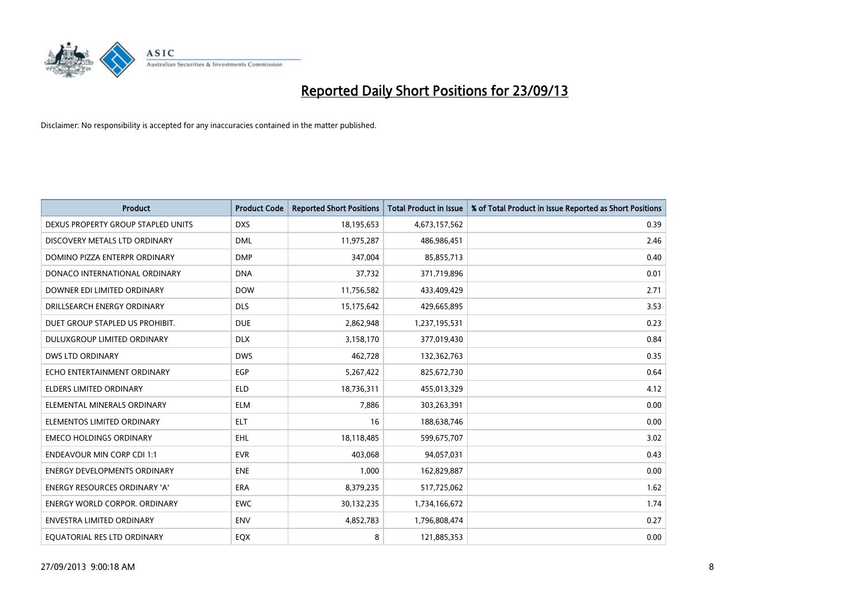

| <b>Product</b>                       | <b>Product Code</b> | <b>Reported Short Positions</b> | <b>Total Product in Issue</b> | % of Total Product in Issue Reported as Short Positions |
|--------------------------------------|---------------------|---------------------------------|-------------------------------|---------------------------------------------------------|
| DEXUS PROPERTY GROUP STAPLED UNITS   | <b>DXS</b>          | 18,195,653                      | 4,673,157,562                 | 0.39                                                    |
| DISCOVERY METALS LTD ORDINARY        | <b>DML</b>          | 11,975,287                      | 486,986,451                   | 2.46                                                    |
| DOMINO PIZZA ENTERPR ORDINARY        | <b>DMP</b>          | 347,004                         | 85,855,713                    | 0.40                                                    |
| DONACO INTERNATIONAL ORDINARY        | <b>DNA</b>          | 37,732                          | 371,719,896                   | 0.01                                                    |
| DOWNER EDI LIMITED ORDINARY          | <b>DOW</b>          | 11,756,582                      | 433,409,429                   | 2.71                                                    |
| DRILLSEARCH ENERGY ORDINARY          | <b>DLS</b>          | 15,175,642                      | 429,665,895                   | 3.53                                                    |
| DUET GROUP STAPLED US PROHIBIT.      | <b>DUE</b>          | 2,862,948                       | 1,237,195,531                 | 0.23                                                    |
| <b>DULUXGROUP LIMITED ORDINARY</b>   | <b>DLX</b>          | 3,158,170                       | 377,019,430                   | 0.84                                                    |
| <b>DWS LTD ORDINARY</b>              | <b>DWS</b>          | 462,728                         | 132,362,763                   | 0.35                                                    |
| ECHO ENTERTAINMENT ORDINARY          | EGP                 | 5,267,422                       | 825,672,730                   | 0.64                                                    |
| ELDERS LIMITED ORDINARY              | <b>ELD</b>          | 18,736,311                      | 455,013,329                   | 4.12                                                    |
| ELEMENTAL MINERALS ORDINARY          | ELM                 | 7,886                           | 303,263,391                   | 0.00                                                    |
| ELEMENTOS LIMITED ORDINARY           | <b>ELT</b>          | 16                              | 188,638,746                   | 0.00                                                    |
| <b>EMECO HOLDINGS ORDINARY</b>       | <b>EHL</b>          | 18,118,485                      | 599,675,707                   | 3.02                                                    |
| <b>ENDEAVOUR MIN CORP CDI 1:1</b>    | <b>EVR</b>          | 403,068                         | 94,057,031                    | 0.43                                                    |
| <b>ENERGY DEVELOPMENTS ORDINARY</b>  | <b>ENE</b>          | 1,000                           | 162,829,887                   | 0.00                                                    |
| <b>ENERGY RESOURCES ORDINARY 'A'</b> | <b>ERA</b>          | 8,379,235                       | 517,725,062                   | 1.62                                                    |
| <b>ENERGY WORLD CORPOR, ORDINARY</b> | <b>EWC</b>          | 30,132,235                      | 1,734,166,672                 | 1.74                                                    |
| <b>ENVESTRA LIMITED ORDINARY</b>     | <b>ENV</b>          | 4,852,783                       | 1,796,808,474                 | 0.27                                                    |
| EQUATORIAL RES LTD ORDINARY          | EQX                 | 8                               | 121,885,353                   | 0.00                                                    |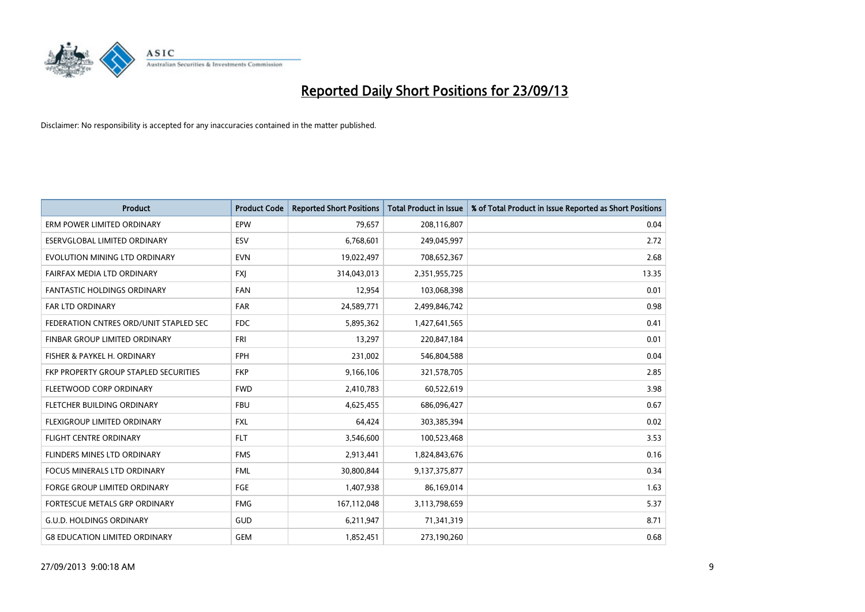

| <b>Product</b>                         | <b>Product Code</b> | <b>Reported Short Positions</b> | <b>Total Product in Issue</b> | % of Total Product in Issue Reported as Short Positions |
|----------------------------------------|---------------------|---------------------------------|-------------------------------|---------------------------------------------------------|
| ERM POWER LIMITED ORDINARY             | EPW                 | 79,657                          | 208,116,807                   | 0.04                                                    |
| ESERVGLOBAL LIMITED ORDINARY           | ESV                 | 6,768,601                       | 249,045,997                   | 2.72                                                    |
| EVOLUTION MINING LTD ORDINARY          | <b>EVN</b>          | 19,022,497                      | 708,652,367                   | 2.68                                                    |
| FAIRFAX MEDIA LTD ORDINARY             | <b>FXI</b>          | 314,043,013                     | 2,351,955,725                 | 13.35                                                   |
| <b>FANTASTIC HOLDINGS ORDINARY</b>     | <b>FAN</b>          | 12,954                          | 103,068,398                   | 0.01                                                    |
| FAR LTD ORDINARY                       | <b>FAR</b>          | 24,589,771                      | 2,499,846,742                 | 0.98                                                    |
| FEDERATION CNTRES ORD/UNIT STAPLED SEC | <b>FDC</b>          | 5,895,362                       | 1,427,641,565                 | 0.41                                                    |
| FINBAR GROUP LIMITED ORDINARY          | <b>FRI</b>          | 13,297                          | 220,847,184                   | 0.01                                                    |
| FISHER & PAYKEL H. ORDINARY            | <b>FPH</b>          | 231,002                         | 546,804,588                   | 0.04                                                    |
| FKP PROPERTY GROUP STAPLED SECURITIES  | <b>FKP</b>          | 9,166,106                       | 321,578,705                   | 2.85                                                    |
| FLEETWOOD CORP ORDINARY                | <b>FWD</b>          | 2,410,783                       | 60,522,619                    | 3.98                                                    |
| FLETCHER BUILDING ORDINARY             | <b>FBU</b>          | 4,625,455                       | 686,096,427                   | 0.67                                                    |
| FLEXIGROUP LIMITED ORDINARY            | <b>FXL</b>          | 64,424                          | 303,385,394                   | 0.02                                                    |
| <b>FLIGHT CENTRE ORDINARY</b>          | <b>FLT</b>          | 3,546,600                       | 100,523,468                   | 3.53                                                    |
| FLINDERS MINES LTD ORDINARY            | <b>FMS</b>          | 2,913,441                       | 1,824,843,676                 | 0.16                                                    |
| FOCUS MINERALS LTD ORDINARY            | <b>FML</b>          | 30,800,844                      | 9,137,375,877                 | 0.34                                                    |
| FORGE GROUP LIMITED ORDINARY           | FGE                 | 1,407,938                       | 86,169,014                    | 1.63                                                    |
| FORTESCUE METALS GRP ORDINARY          | <b>FMG</b>          | 167,112,048                     | 3,113,798,659                 | 5.37                                                    |
| <b>G.U.D. HOLDINGS ORDINARY</b>        | <b>GUD</b>          | 6,211,947                       | 71,341,319                    | 8.71                                                    |
| <b>G8 EDUCATION LIMITED ORDINARY</b>   | <b>GEM</b>          | 1,852,451                       | 273,190,260                   | 0.68                                                    |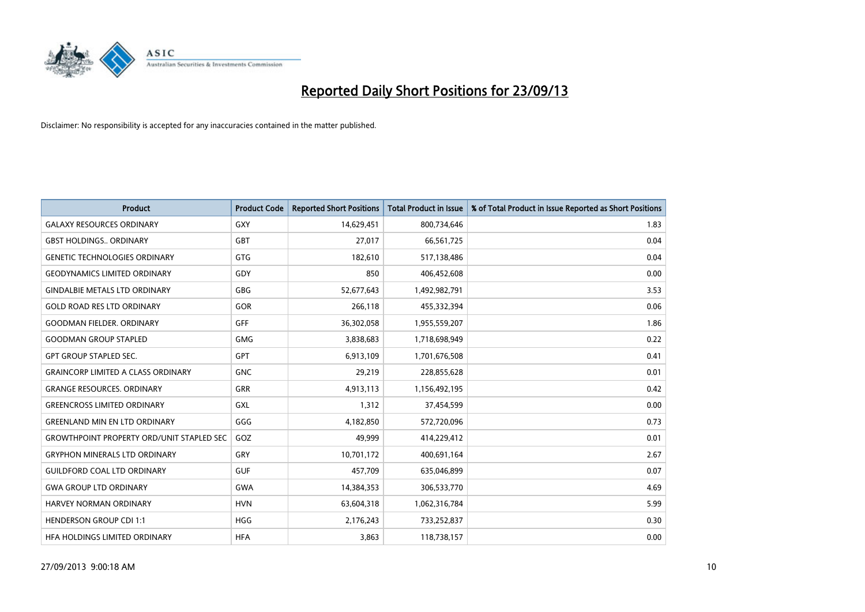

| <b>Product</b>                                   | <b>Product Code</b> | <b>Reported Short Positions</b> | <b>Total Product in Issue</b> | % of Total Product in Issue Reported as Short Positions |
|--------------------------------------------------|---------------------|---------------------------------|-------------------------------|---------------------------------------------------------|
| <b>GALAXY RESOURCES ORDINARY</b>                 | <b>GXY</b>          | 14,629,451                      | 800,734,646                   | 1.83                                                    |
| <b>GBST HOLDINGS ORDINARY</b>                    | <b>GBT</b>          | 27,017                          | 66,561,725                    | 0.04                                                    |
| <b>GENETIC TECHNOLOGIES ORDINARY</b>             | <b>GTG</b>          | 182,610                         | 517,138,486                   | 0.04                                                    |
| <b>GEODYNAMICS LIMITED ORDINARY</b>              | GDY                 | 850                             | 406,452,608                   | 0.00                                                    |
| <b>GINDALBIE METALS LTD ORDINARY</b>             | <b>GBG</b>          | 52,677,643                      | 1,492,982,791                 | 3.53                                                    |
| <b>GOLD ROAD RES LTD ORDINARY</b>                | GOR                 | 266,118                         | 455,332,394                   | 0.06                                                    |
| <b>GOODMAN FIELDER, ORDINARY</b>                 | <b>GFF</b>          | 36,302,058                      | 1,955,559,207                 | 1.86                                                    |
| <b>GOODMAN GROUP STAPLED</b>                     | <b>GMG</b>          | 3,838,683                       | 1,718,698,949                 | 0.22                                                    |
| <b>GPT GROUP STAPLED SEC.</b>                    | <b>GPT</b>          | 6,913,109                       | 1,701,676,508                 | 0.41                                                    |
| <b>GRAINCORP LIMITED A CLASS ORDINARY</b>        | <b>GNC</b>          | 29,219                          | 228,855,628                   | 0.01                                                    |
| <b>GRANGE RESOURCES. ORDINARY</b>                | GRR                 | 4,913,113                       | 1,156,492,195                 | 0.42                                                    |
| <b>GREENCROSS LIMITED ORDINARY</b>               | GXL                 | 1,312                           | 37,454,599                    | 0.00                                                    |
| <b>GREENLAND MIN EN LTD ORDINARY</b>             | GGG                 | 4,182,850                       | 572,720,096                   | 0.73                                                    |
| <b>GROWTHPOINT PROPERTY ORD/UNIT STAPLED SEC</b> | GOZ                 | 49,999                          | 414,229,412                   | 0.01                                                    |
| <b>GRYPHON MINERALS LTD ORDINARY</b>             | GRY                 | 10,701,172                      | 400,691,164                   | 2.67                                                    |
| <b>GUILDFORD COAL LTD ORDINARY</b>               | <b>GUF</b>          | 457,709                         | 635,046,899                   | 0.07                                                    |
| <b>GWA GROUP LTD ORDINARY</b>                    | <b>GWA</b>          | 14,384,353                      | 306,533,770                   | 4.69                                                    |
| <b>HARVEY NORMAN ORDINARY</b>                    | <b>HVN</b>          | 63,604,318                      | 1,062,316,784                 | 5.99                                                    |
| <b>HENDERSON GROUP CDI 1:1</b>                   | <b>HGG</b>          | 2,176,243                       | 733,252,837                   | 0.30                                                    |
| HEA HOLDINGS LIMITED ORDINARY                    | <b>HFA</b>          | 3,863                           | 118,738,157                   | 0.00                                                    |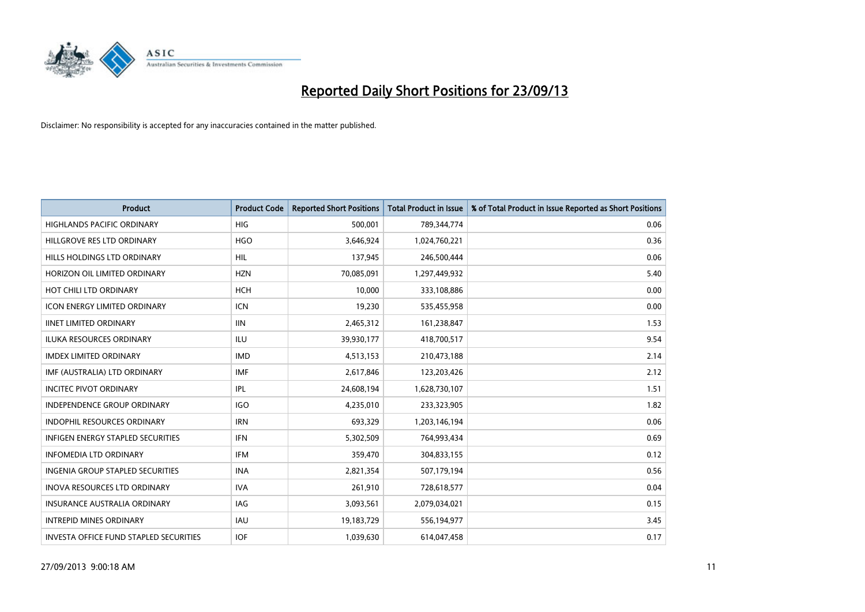

| <b>Product</b>                                | <b>Product Code</b> | <b>Reported Short Positions</b> | <b>Total Product in Issue</b> | % of Total Product in Issue Reported as Short Positions |
|-----------------------------------------------|---------------------|---------------------------------|-------------------------------|---------------------------------------------------------|
| <b>HIGHLANDS PACIFIC ORDINARY</b>             | <b>HIG</b>          | 500,001                         | 789,344,774                   | 0.06                                                    |
| HILLGROVE RES LTD ORDINARY                    | <b>HGO</b>          | 3,646,924                       | 1,024,760,221                 | 0.36                                                    |
| HILLS HOLDINGS LTD ORDINARY                   | <b>HIL</b>          | 137,945                         | 246,500,444                   | 0.06                                                    |
| HORIZON OIL LIMITED ORDINARY                  | <b>HZN</b>          | 70,085,091                      | 1,297,449,932                 | 5.40                                                    |
| HOT CHILI LTD ORDINARY                        | <b>HCH</b>          | 10,000                          | 333,108,886                   | 0.00                                                    |
| <b>ICON ENERGY LIMITED ORDINARY</b>           | <b>ICN</b>          | 19,230                          | 535,455,958                   | 0.00                                                    |
| <b>IINET LIMITED ORDINARY</b>                 | <b>IIN</b>          | 2,465,312                       | 161,238,847                   | 1.53                                                    |
| <b>ILUKA RESOURCES ORDINARY</b>               | ILU                 | 39,930,177                      | 418,700,517                   | 9.54                                                    |
| <b>IMDEX LIMITED ORDINARY</b>                 | <b>IMD</b>          | 4,513,153                       | 210,473,188                   | 2.14                                                    |
| IMF (AUSTRALIA) LTD ORDINARY                  | <b>IMF</b>          | 2,617,846                       | 123,203,426                   | 2.12                                                    |
| <b>INCITEC PIVOT ORDINARY</b>                 | IPL                 | 24,608,194                      | 1,628,730,107                 | 1.51                                                    |
| <b>INDEPENDENCE GROUP ORDINARY</b>            | <b>IGO</b>          | 4,235,010                       | 233,323,905                   | 1.82                                                    |
| <b>INDOPHIL RESOURCES ORDINARY</b>            | <b>IRN</b>          | 693,329                         | 1,203,146,194                 | 0.06                                                    |
| <b>INFIGEN ENERGY STAPLED SECURITIES</b>      | <b>IFN</b>          | 5,302,509                       | 764,993,434                   | 0.69                                                    |
| <b>INFOMEDIA LTD ORDINARY</b>                 | <b>IFM</b>          | 359,470                         | 304,833,155                   | 0.12                                                    |
| <b>INGENIA GROUP STAPLED SECURITIES</b>       | <b>INA</b>          | 2,821,354                       | 507,179,194                   | 0.56                                                    |
| <b>INOVA RESOURCES LTD ORDINARY</b>           | <b>IVA</b>          | 261,910                         | 728,618,577                   | 0.04                                                    |
| INSURANCE AUSTRALIA ORDINARY                  | IAG                 | 3,093,561                       | 2,079,034,021                 | 0.15                                                    |
| <b>INTREPID MINES ORDINARY</b>                | <b>IAU</b>          | 19,183,729                      | 556,194,977                   | 3.45                                                    |
| <b>INVESTA OFFICE FUND STAPLED SECURITIES</b> | <b>IOF</b>          | 1,039,630                       | 614,047,458                   | 0.17                                                    |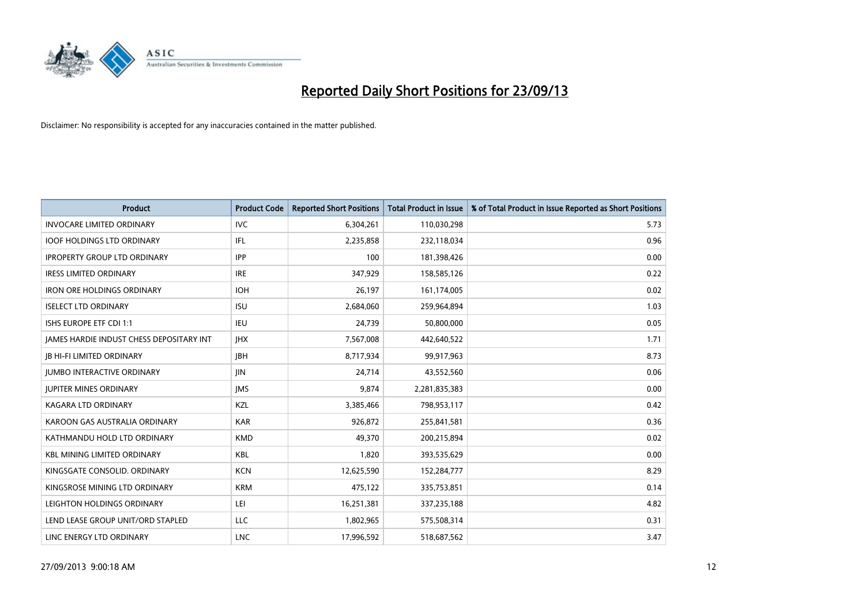

| Product                                  | <b>Product Code</b> | <b>Reported Short Positions</b> | <b>Total Product in Issue</b> | % of Total Product in Issue Reported as Short Positions |
|------------------------------------------|---------------------|---------------------------------|-------------------------------|---------------------------------------------------------|
| <b>INVOCARE LIMITED ORDINARY</b>         | <b>IVC</b>          | 6,304,261                       | 110,030,298                   | 5.73                                                    |
| <b>IOOF HOLDINGS LTD ORDINARY</b>        | IFL                 | 2,235,858                       | 232,118,034                   | 0.96                                                    |
| <b>IPROPERTY GROUP LTD ORDINARY</b>      | <b>IPP</b>          | 100                             | 181,398,426                   | 0.00                                                    |
| <b>IRESS LIMITED ORDINARY</b>            | <b>IRE</b>          | 347,929                         | 158,585,126                   | 0.22                                                    |
| <b>IRON ORE HOLDINGS ORDINARY</b>        | <b>IOH</b>          | 26,197                          | 161,174,005                   | 0.02                                                    |
| <b>ISELECT LTD ORDINARY</b>              | <b>ISU</b>          | 2,684,060                       | 259,964,894                   | 1.03                                                    |
| <b>ISHS EUROPE ETF CDI 1:1</b>           | <b>IEU</b>          | 24,739                          | 50,800,000                    | 0.05                                                    |
| JAMES HARDIE INDUST CHESS DEPOSITARY INT | <b>IHX</b>          | 7,567,008                       | 442,640,522                   | 1.71                                                    |
| <b>JB HI-FI LIMITED ORDINARY</b>         | <b>IBH</b>          | 8,717,934                       | 99,917,963                    | 8.73                                                    |
| <b>JUMBO INTERACTIVE ORDINARY</b>        | <b>JIN</b>          | 24,714                          | 43,552,560                    | 0.06                                                    |
| <b>JUPITER MINES ORDINARY</b>            | <b>IMS</b>          | 9,874                           | 2,281,835,383                 | 0.00                                                    |
| <b>KAGARA LTD ORDINARY</b>               | KZL                 | 3,385,466                       | 798,953,117                   | 0.42                                                    |
| KAROON GAS AUSTRALIA ORDINARY            | <b>KAR</b>          | 926,872                         | 255,841,581                   | 0.36                                                    |
| KATHMANDU HOLD LTD ORDINARY              | <b>KMD</b>          | 49,370                          | 200,215,894                   | 0.02                                                    |
| <b>KBL MINING LIMITED ORDINARY</b>       | <b>KBL</b>          | 1,820                           | 393,535,629                   | 0.00                                                    |
| KINGSGATE CONSOLID. ORDINARY             | <b>KCN</b>          | 12,625,590                      | 152,284,777                   | 8.29                                                    |
| KINGSROSE MINING LTD ORDINARY            | <b>KRM</b>          | 475,122                         | 335,753,851                   | 0.14                                                    |
| LEIGHTON HOLDINGS ORDINARY               | LEI                 | 16,251,381                      | 337,235,188                   | 4.82                                                    |
| LEND LEASE GROUP UNIT/ORD STAPLED        | <b>LLC</b>          | 1,802,965                       | 575,508,314                   | 0.31                                                    |
| LINC ENERGY LTD ORDINARY                 | <b>LNC</b>          | 17,996,592                      | 518,687,562                   | 3.47                                                    |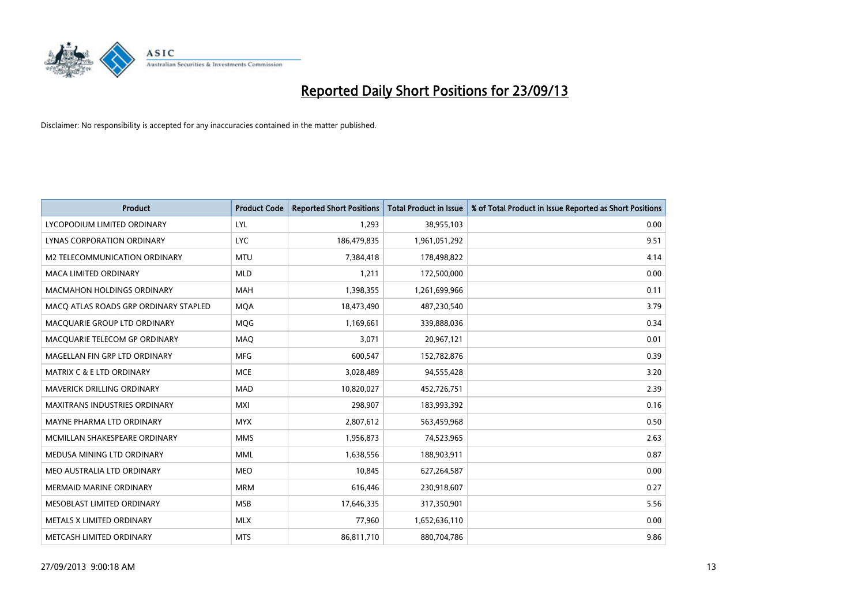

| <b>Product</b>                        | <b>Product Code</b> | <b>Reported Short Positions</b> | <b>Total Product in Issue</b> | % of Total Product in Issue Reported as Short Positions |
|---------------------------------------|---------------------|---------------------------------|-------------------------------|---------------------------------------------------------|
| LYCOPODIUM LIMITED ORDINARY           | <b>LYL</b>          | 1,293                           | 38,955,103                    | 0.00                                                    |
| LYNAS CORPORATION ORDINARY            | <b>LYC</b>          | 186,479,835                     | 1,961,051,292                 | 9.51                                                    |
| M2 TELECOMMUNICATION ORDINARY         | <b>MTU</b>          | 7,384,418                       | 178,498,822                   | 4.14                                                    |
| <b>MACA LIMITED ORDINARY</b>          | <b>MLD</b>          | 1,211                           | 172,500,000                   | 0.00                                                    |
| <b>MACMAHON HOLDINGS ORDINARY</b>     | <b>MAH</b>          | 1,398,355                       | 1,261,699,966                 | 0.11                                                    |
| MACO ATLAS ROADS GRP ORDINARY STAPLED | <b>MQA</b>          | 18,473,490                      | 487,230,540                   | 3.79                                                    |
| MACQUARIE GROUP LTD ORDINARY          | <b>MOG</b>          | 1,169,661                       | 339,888,036                   | 0.34                                                    |
| MACQUARIE TELECOM GP ORDINARY         | MAQ                 | 3,071                           | 20,967,121                    | 0.01                                                    |
| MAGELLAN FIN GRP LTD ORDINARY         | <b>MFG</b>          | 600,547                         | 152,782,876                   | 0.39                                                    |
| <b>MATRIX C &amp; E LTD ORDINARY</b>  | <b>MCE</b>          | 3,028,489                       | 94,555,428                    | 3.20                                                    |
| <b>MAVERICK DRILLING ORDINARY</b>     | <b>MAD</b>          | 10,820,027                      | 452,726,751                   | 2.39                                                    |
| <b>MAXITRANS INDUSTRIES ORDINARY</b>  | <b>MXI</b>          | 298,907                         | 183,993,392                   | 0.16                                                    |
| MAYNE PHARMA LTD ORDINARY             | <b>MYX</b>          | 2,807,612                       | 563,459,968                   | 0.50                                                    |
| MCMILLAN SHAKESPEARE ORDINARY         | <b>MMS</b>          | 1,956,873                       | 74,523,965                    | 2.63                                                    |
| MEDUSA MINING LTD ORDINARY            | <b>MML</b>          | 1,638,556                       | 188,903,911                   | 0.87                                                    |
| MEO AUSTRALIA LTD ORDINARY            | <b>MEO</b>          | 10,845                          | 627,264,587                   | 0.00                                                    |
| MERMAID MARINE ORDINARY               | <b>MRM</b>          | 616,446                         | 230,918,607                   | 0.27                                                    |
| MESOBLAST LIMITED ORDINARY            | <b>MSB</b>          | 17,646,335                      | 317,350,901                   | 5.56                                                    |
| METALS X LIMITED ORDINARY             | <b>MLX</b>          | 77,960                          | 1,652,636,110                 | 0.00                                                    |
| METCASH LIMITED ORDINARY              | <b>MTS</b>          | 86,811,710                      | 880,704,786                   | 9.86                                                    |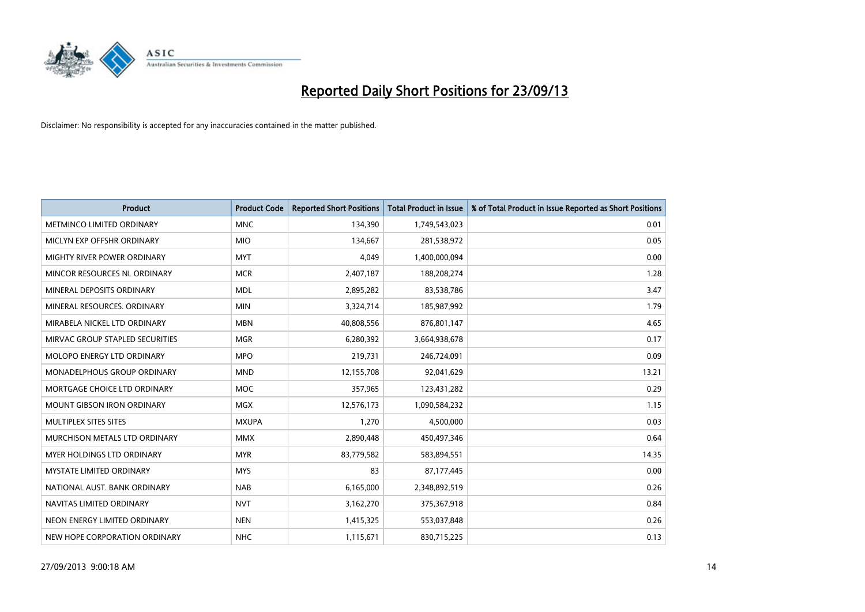

| <b>Product</b>                    | <b>Product Code</b> | <b>Reported Short Positions</b> | <b>Total Product in Issue</b> | % of Total Product in Issue Reported as Short Positions |
|-----------------------------------|---------------------|---------------------------------|-------------------------------|---------------------------------------------------------|
| METMINCO LIMITED ORDINARY         | <b>MNC</b>          | 134,390                         | 1,749,543,023                 | 0.01                                                    |
| MICLYN EXP OFFSHR ORDINARY        | <b>MIO</b>          | 134,667                         | 281,538,972                   | 0.05                                                    |
| MIGHTY RIVER POWER ORDINARY       | <b>MYT</b>          | 4,049                           | 1,400,000,094                 | 0.00                                                    |
| MINCOR RESOURCES NL ORDINARY      | <b>MCR</b>          | 2,407,187                       | 188,208,274                   | 1.28                                                    |
| MINERAL DEPOSITS ORDINARY         | <b>MDL</b>          | 2,895,282                       | 83,538,786                    | 3.47                                                    |
| MINERAL RESOURCES, ORDINARY       | <b>MIN</b>          | 3,324,714                       | 185,987,992                   | 1.79                                                    |
| MIRABELA NICKEL LTD ORDINARY      | <b>MBN</b>          | 40,808,556                      | 876,801,147                   | 4.65                                                    |
| MIRVAC GROUP STAPLED SECURITIES   | <b>MGR</b>          | 6,280,392                       | 3,664,938,678                 | 0.17                                                    |
| MOLOPO ENERGY LTD ORDINARY        | <b>MPO</b>          | 219,731                         | 246,724,091                   | 0.09                                                    |
| MONADELPHOUS GROUP ORDINARY       | <b>MND</b>          | 12,155,708                      | 92,041,629                    | 13.21                                                   |
| MORTGAGE CHOICE LTD ORDINARY      | <b>MOC</b>          | 357,965                         | 123,431,282                   | 0.29                                                    |
| <b>MOUNT GIBSON IRON ORDINARY</b> | <b>MGX</b>          | 12,576,173                      | 1,090,584,232                 | 1.15                                                    |
| MULTIPLEX SITES SITES             | <b>MXUPA</b>        | 1,270                           | 4,500,000                     | 0.03                                                    |
| MURCHISON METALS LTD ORDINARY     | <b>MMX</b>          | 2,890,448                       | 450,497,346                   | 0.64                                                    |
| MYER HOLDINGS LTD ORDINARY        | <b>MYR</b>          | 83,779,582                      | 583,894,551                   | 14.35                                                   |
| <b>MYSTATE LIMITED ORDINARY</b>   | <b>MYS</b>          | 83                              | 87,177,445                    | 0.00                                                    |
| NATIONAL AUST. BANK ORDINARY      | <b>NAB</b>          | 6,165,000                       | 2,348,892,519                 | 0.26                                                    |
| NAVITAS LIMITED ORDINARY          | <b>NVT</b>          | 3,162,270                       | 375,367,918                   | 0.84                                                    |
| NEON ENERGY LIMITED ORDINARY      | <b>NEN</b>          | 1,415,325                       | 553,037,848                   | 0.26                                                    |
| NEW HOPE CORPORATION ORDINARY     | <b>NHC</b>          | 1,115,671                       | 830,715,225                   | 0.13                                                    |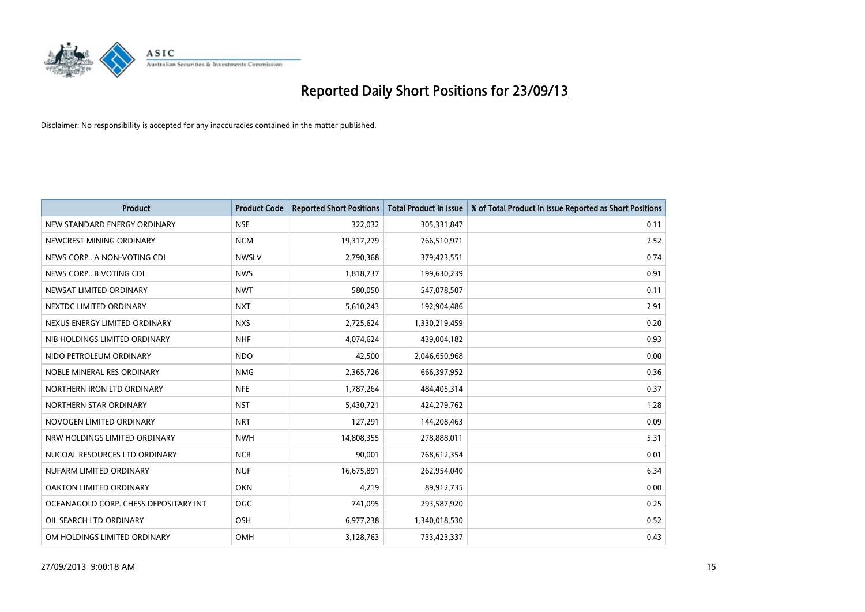

| <b>Product</b>                        | <b>Product Code</b> | <b>Reported Short Positions</b> | <b>Total Product in Issue</b> | % of Total Product in Issue Reported as Short Positions |
|---------------------------------------|---------------------|---------------------------------|-------------------------------|---------------------------------------------------------|
| NEW STANDARD ENERGY ORDINARY          | <b>NSE</b>          | 322,032                         | 305,331,847                   | 0.11                                                    |
| NEWCREST MINING ORDINARY              | <b>NCM</b>          | 19,317,279                      | 766,510,971                   | 2.52                                                    |
| NEWS CORP A NON-VOTING CDI            | <b>NWSLV</b>        | 2,790,368                       | 379,423,551                   | 0.74                                                    |
| NEWS CORP B VOTING CDI                | <b>NWS</b>          | 1,818,737                       | 199,630,239                   | 0.91                                                    |
| NEWSAT LIMITED ORDINARY               | <b>NWT</b>          | 580,050                         | 547,078,507                   | 0.11                                                    |
| NEXTDC LIMITED ORDINARY               | <b>NXT</b>          | 5,610,243                       | 192,904,486                   | 2.91                                                    |
| NEXUS ENERGY LIMITED ORDINARY         | <b>NXS</b>          | 2,725,624                       | 1,330,219,459                 | 0.20                                                    |
| NIB HOLDINGS LIMITED ORDINARY         | <b>NHF</b>          | 4,074,624                       | 439,004,182                   | 0.93                                                    |
| NIDO PETROLEUM ORDINARY               | <b>NDO</b>          | 42,500                          | 2,046,650,968                 | 0.00                                                    |
| NOBLE MINERAL RES ORDINARY            | <b>NMG</b>          | 2,365,726                       | 666,397,952                   | 0.36                                                    |
| NORTHERN IRON LTD ORDINARY            | <b>NFE</b>          | 1,787,264                       | 484,405,314                   | 0.37                                                    |
| NORTHERN STAR ORDINARY                | <b>NST</b>          | 5,430,721                       | 424,279,762                   | 1.28                                                    |
| NOVOGEN LIMITED ORDINARY              | <b>NRT</b>          | 127,291                         | 144,208,463                   | 0.09                                                    |
| NRW HOLDINGS LIMITED ORDINARY         | <b>NWH</b>          | 14,808,355                      | 278,888,011                   | 5.31                                                    |
| NUCOAL RESOURCES LTD ORDINARY         | <b>NCR</b>          | 90,001                          | 768,612,354                   | 0.01                                                    |
| NUFARM LIMITED ORDINARY               | <b>NUF</b>          | 16,675,891                      | 262,954,040                   | 6.34                                                    |
| OAKTON LIMITED ORDINARY               | <b>OKN</b>          | 4,219                           | 89,912,735                    | 0.00                                                    |
| OCEANAGOLD CORP. CHESS DEPOSITARY INT | <b>OGC</b>          | 741,095                         | 293,587,920                   | 0.25                                                    |
| OIL SEARCH LTD ORDINARY               | OSH                 | 6,977,238                       | 1,340,018,530                 | 0.52                                                    |
| OM HOLDINGS LIMITED ORDINARY          | OMH                 | 3,128,763                       | 733,423,337                   | 0.43                                                    |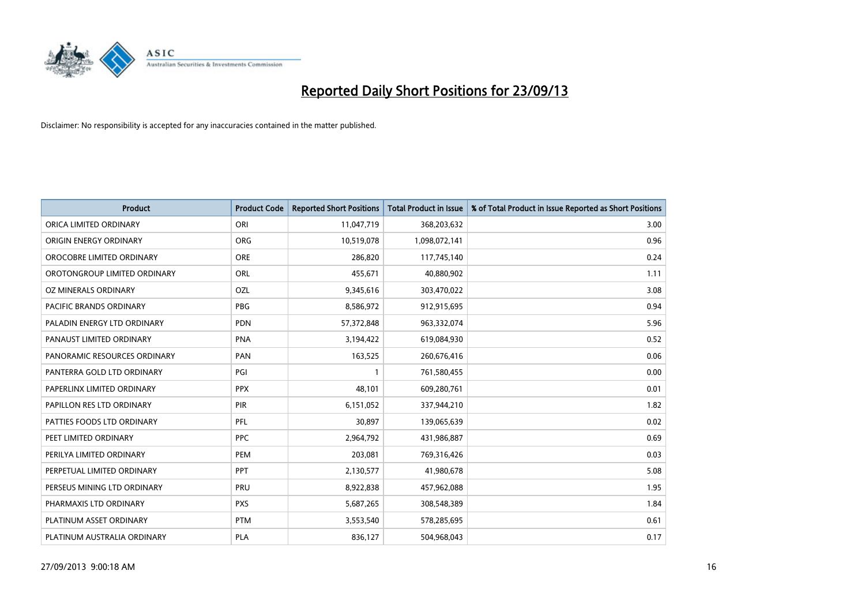

| <b>Product</b>                 | <b>Product Code</b> | <b>Reported Short Positions</b> | <b>Total Product in Issue</b> | % of Total Product in Issue Reported as Short Positions |
|--------------------------------|---------------------|---------------------------------|-------------------------------|---------------------------------------------------------|
| ORICA LIMITED ORDINARY         | ORI                 | 11,047,719                      | 368,203,632                   | 3.00                                                    |
| ORIGIN ENERGY ORDINARY         | <b>ORG</b>          | 10,519,078                      | 1,098,072,141                 | 0.96                                                    |
| OROCOBRE LIMITED ORDINARY      | <b>ORE</b>          | 286,820                         | 117,745,140                   | 0.24                                                    |
| OROTONGROUP LIMITED ORDINARY   | ORL                 | 455,671                         | 40,880,902                    | 1.11                                                    |
| OZ MINERALS ORDINARY           | OZL                 | 9,345,616                       | 303,470,022                   | 3.08                                                    |
| <b>PACIFIC BRANDS ORDINARY</b> | <b>PBG</b>          | 8,586,972                       | 912,915,695                   | 0.94                                                    |
| PALADIN ENERGY LTD ORDINARY    | <b>PDN</b>          | 57,372,848                      | 963,332,074                   | 5.96                                                    |
| PANAUST LIMITED ORDINARY       | <b>PNA</b>          | 3,194,422                       | 619,084,930                   | 0.52                                                    |
| PANORAMIC RESOURCES ORDINARY   | PAN                 | 163,525                         | 260,676,416                   | 0.06                                                    |
| PANTERRA GOLD LTD ORDINARY     | PGI                 | $\mathbf{1}$                    | 761,580,455                   | 0.00                                                    |
| PAPERLINX LIMITED ORDINARY     | <b>PPX</b>          | 48,101                          | 609,280,761                   | 0.01                                                    |
| PAPILLON RES LTD ORDINARY      | PIR                 | 6,151,052                       | 337,944,210                   | 1.82                                                    |
| PATTIES FOODS LTD ORDINARY     | PFL                 | 30,897                          | 139,065,639                   | 0.02                                                    |
| PEET LIMITED ORDINARY          | <b>PPC</b>          | 2,964,792                       | 431,986,887                   | 0.69                                                    |
| PERILYA LIMITED ORDINARY       | PEM                 | 203,081                         | 769,316,426                   | 0.03                                                    |
| PERPETUAL LIMITED ORDINARY     | PPT                 | 2,130,577                       | 41,980,678                    | 5.08                                                    |
| PERSEUS MINING LTD ORDINARY    | PRU                 | 8,922,838                       | 457,962,088                   | 1.95                                                    |
| PHARMAXIS LTD ORDINARY         | <b>PXS</b>          | 5,687,265                       | 308,548,389                   | 1.84                                                    |
| PLATINUM ASSET ORDINARY        | <b>PTM</b>          | 3,553,540                       | 578,285,695                   | 0.61                                                    |
| PLATINUM AUSTRALIA ORDINARY    | <b>PLA</b>          | 836,127                         | 504,968,043                   | 0.17                                                    |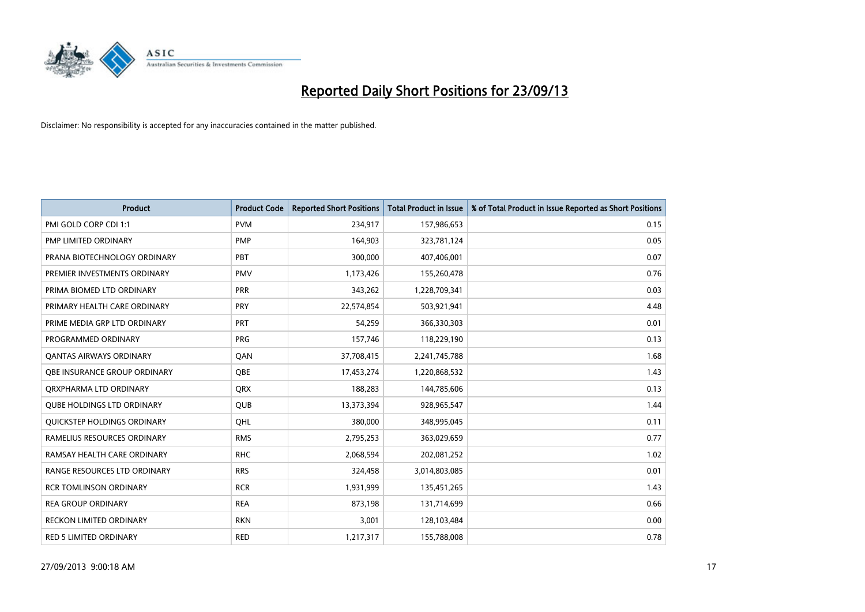

| <b>Product</b>                    | <b>Product Code</b> | <b>Reported Short Positions</b> | <b>Total Product in Issue</b> | % of Total Product in Issue Reported as Short Positions |
|-----------------------------------|---------------------|---------------------------------|-------------------------------|---------------------------------------------------------|
| PMI GOLD CORP CDI 1:1             | <b>PVM</b>          | 234,917                         | 157,986,653                   | 0.15                                                    |
| PMP LIMITED ORDINARY              | <b>PMP</b>          | 164,903                         | 323,781,124                   | 0.05                                                    |
| PRANA BIOTECHNOLOGY ORDINARY      | PBT                 | 300,000                         | 407,406,001                   | 0.07                                                    |
| PREMIER INVESTMENTS ORDINARY      | <b>PMV</b>          | 1,173,426                       | 155,260,478                   | 0.76                                                    |
| PRIMA BIOMED LTD ORDINARY         | <b>PRR</b>          | 343,262                         | 1,228,709,341                 | 0.03                                                    |
| PRIMARY HEALTH CARE ORDINARY      | <b>PRY</b>          | 22,574,854                      | 503,921,941                   | 4.48                                                    |
| PRIME MEDIA GRP LTD ORDINARY      | <b>PRT</b>          | 54,259                          | 366,330,303                   | 0.01                                                    |
| PROGRAMMED ORDINARY               | <b>PRG</b>          | 157,746                         | 118,229,190                   | 0.13                                                    |
| OANTAS AIRWAYS ORDINARY           | QAN                 | 37,708,415                      | 2,241,745,788                 | 1.68                                                    |
| OBE INSURANCE GROUP ORDINARY      | <b>OBE</b>          | 17,453,274                      | 1,220,868,532                 | 1.43                                                    |
| ORXPHARMA LTD ORDINARY            | <b>QRX</b>          | 188,283                         | 144,785,606                   | 0.13                                                    |
| <b>QUBE HOLDINGS LTD ORDINARY</b> | QUB                 | 13,373,394                      | 928,965,547                   | 1.44                                                    |
| QUICKSTEP HOLDINGS ORDINARY       | OHL                 | 380,000                         | 348,995,045                   | 0.11                                                    |
| RAMELIUS RESOURCES ORDINARY       | <b>RMS</b>          | 2,795,253                       | 363,029,659                   | 0.77                                                    |
| RAMSAY HEALTH CARE ORDINARY       | <b>RHC</b>          | 2,068,594                       | 202,081,252                   | 1.02                                                    |
| RANGE RESOURCES LTD ORDINARY      | <b>RRS</b>          | 324,458                         | 3,014,803,085                 | 0.01                                                    |
| RCR TOMLINSON ORDINARY            | <b>RCR</b>          | 1,931,999                       | 135,451,265                   | 1.43                                                    |
| <b>REA GROUP ORDINARY</b>         | <b>REA</b>          | 873,198                         | 131,714,699                   | 0.66                                                    |
| <b>RECKON LIMITED ORDINARY</b>    | <b>RKN</b>          | 3,001                           | 128,103,484                   | 0.00                                                    |
| RED 5 LIMITED ORDINARY            | <b>RED</b>          | 1,217,317                       | 155,788,008                   | 0.78                                                    |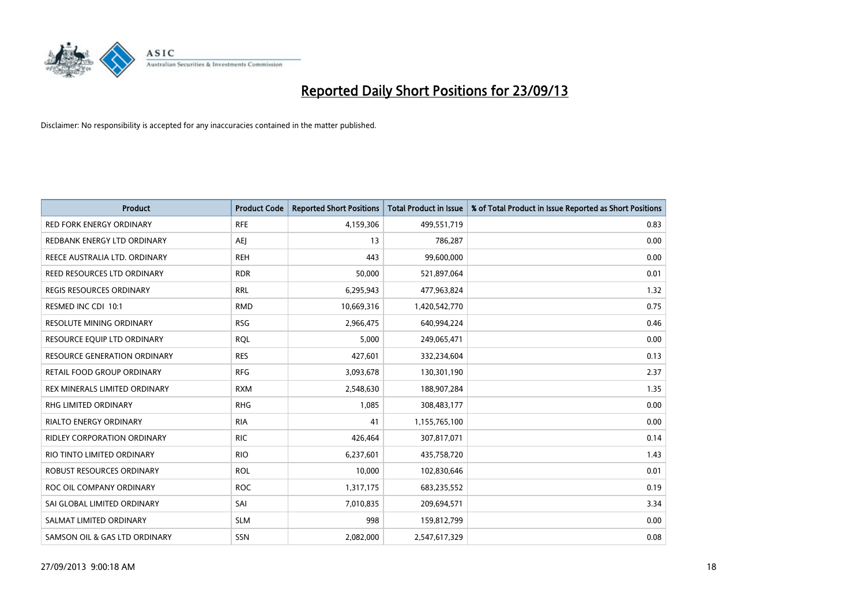

| <b>Product</b>                      | <b>Product Code</b> | <b>Reported Short Positions</b> | <b>Total Product in Issue</b> | % of Total Product in Issue Reported as Short Positions |
|-------------------------------------|---------------------|---------------------------------|-------------------------------|---------------------------------------------------------|
| <b>RED FORK ENERGY ORDINARY</b>     | <b>RFE</b>          | 4,159,306                       | 499,551,719                   | 0.83                                                    |
| REDBANK ENERGY LTD ORDINARY         | AEJ                 | 13                              | 786,287                       | 0.00                                                    |
| REECE AUSTRALIA LTD. ORDINARY       | <b>REH</b>          | 443                             | 99,600,000                    | 0.00                                                    |
| REED RESOURCES LTD ORDINARY         | <b>RDR</b>          | 50,000                          | 521,897,064                   | 0.01                                                    |
| <b>REGIS RESOURCES ORDINARY</b>     | <b>RRL</b>          | 6,295,943                       | 477,963,824                   | 1.32                                                    |
| RESMED INC CDI 10:1                 | <b>RMD</b>          | 10,669,316                      | 1,420,542,770                 | 0.75                                                    |
| <b>RESOLUTE MINING ORDINARY</b>     | <b>RSG</b>          | 2,966,475                       | 640,994,224                   | 0.46                                                    |
| RESOURCE EQUIP LTD ORDINARY         | <b>RQL</b>          | 5,000                           | 249,065,471                   | 0.00                                                    |
| <b>RESOURCE GENERATION ORDINARY</b> | <b>RES</b>          | 427,601                         | 332,234,604                   | 0.13                                                    |
| RETAIL FOOD GROUP ORDINARY          | <b>RFG</b>          | 3,093,678                       | 130,301,190                   | 2.37                                                    |
| REX MINERALS LIMITED ORDINARY       | <b>RXM</b>          | 2,548,630                       | 188,907,284                   | 1.35                                                    |
| RHG LIMITED ORDINARY                | <b>RHG</b>          | 1,085                           | 308,483,177                   | 0.00                                                    |
| RIALTO ENERGY ORDINARY              | <b>RIA</b>          | 41                              | 1,155,765,100                 | 0.00                                                    |
| <b>RIDLEY CORPORATION ORDINARY</b>  | <b>RIC</b>          | 426,464                         | 307,817,071                   | 0.14                                                    |
| RIO TINTO LIMITED ORDINARY          | <b>RIO</b>          | 6,237,601                       | 435,758,720                   | 1.43                                                    |
| ROBUST RESOURCES ORDINARY           | <b>ROL</b>          | 10,000                          | 102,830,646                   | 0.01                                                    |
| ROC OIL COMPANY ORDINARY            | <b>ROC</b>          | 1,317,175                       | 683,235,552                   | 0.19                                                    |
| SAI GLOBAL LIMITED ORDINARY         | SAI                 | 7,010,835                       | 209,694,571                   | 3.34                                                    |
| SALMAT LIMITED ORDINARY             | <b>SLM</b>          | 998                             | 159,812,799                   | 0.00                                                    |
| SAMSON OIL & GAS LTD ORDINARY       | SSN                 | 2,082,000                       | 2,547,617,329                 | 0.08                                                    |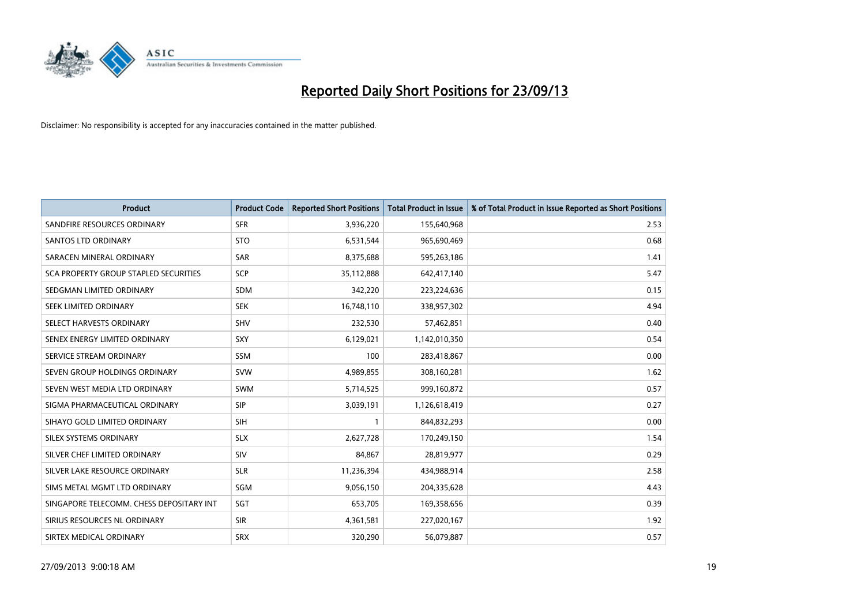

| <b>Product</b>                           | <b>Product Code</b> | <b>Reported Short Positions</b> | <b>Total Product in Issue</b> | % of Total Product in Issue Reported as Short Positions |
|------------------------------------------|---------------------|---------------------------------|-------------------------------|---------------------------------------------------------|
| SANDFIRE RESOURCES ORDINARY              | <b>SFR</b>          | 3,936,220                       | 155,640,968                   | 2.53                                                    |
| SANTOS LTD ORDINARY                      | <b>STO</b>          | 6,531,544                       | 965,690,469                   | 0.68                                                    |
| SARACEN MINERAL ORDINARY                 | <b>SAR</b>          | 8,375,688                       | 595,263,186                   | 1.41                                                    |
| SCA PROPERTY GROUP STAPLED SECURITIES    | <b>SCP</b>          | 35,112,888                      | 642,417,140                   | 5.47                                                    |
| SEDGMAN LIMITED ORDINARY                 | <b>SDM</b>          | 342,220                         | 223,224,636                   | 0.15                                                    |
| SEEK LIMITED ORDINARY                    | <b>SEK</b>          | 16,748,110                      | 338,957,302                   | 4.94                                                    |
| SELECT HARVESTS ORDINARY                 | <b>SHV</b>          | 232,530                         | 57,462,851                    | 0.40                                                    |
| SENEX ENERGY LIMITED ORDINARY            | SXY                 | 6,129,021                       | 1,142,010,350                 | 0.54                                                    |
| SERVICE STREAM ORDINARY                  | <b>SSM</b>          | 100                             | 283,418,867                   | 0.00                                                    |
| SEVEN GROUP HOLDINGS ORDINARY            | <b>SVW</b>          | 4,989,855                       | 308,160,281                   | 1.62                                                    |
| SEVEN WEST MEDIA LTD ORDINARY            | <b>SWM</b>          | 5,714,525                       | 999,160,872                   | 0.57                                                    |
| SIGMA PHARMACEUTICAL ORDINARY            | <b>SIP</b>          | 3,039,191                       | 1,126,618,419                 | 0.27                                                    |
| SIHAYO GOLD LIMITED ORDINARY             | <b>SIH</b>          | $\mathbf{1}$                    | 844,832,293                   | 0.00                                                    |
| SILEX SYSTEMS ORDINARY                   | <b>SLX</b>          | 2,627,728                       | 170,249,150                   | 1.54                                                    |
| SILVER CHEF LIMITED ORDINARY             | SIV                 | 84,867                          | 28,819,977                    | 0.29                                                    |
| SILVER LAKE RESOURCE ORDINARY            | <b>SLR</b>          | 11,236,394                      | 434,988,914                   | 2.58                                                    |
| SIMS METAL MGMT LTD ORDINARY             | SGM                 | 9,056,150                       | 204,335,628                   | 4.43                                                    |
| SINGAPORE TELECOMM. CHESS DEPOSITARY INT | SGT                 | 653,705                         | 169,358,656                   | 0.39                                                    |
| SIRIUS RESOURCES NL ORDINARY             | <b>SIR</b>          | 4,361,581                       | 227,020,167                   | 1.92                                                    |
| SIRTEX MEDICAL ORDINARY                  | <b>SRX</b>          | 320,290                         | 56,079,887                    | 0.57                                                    |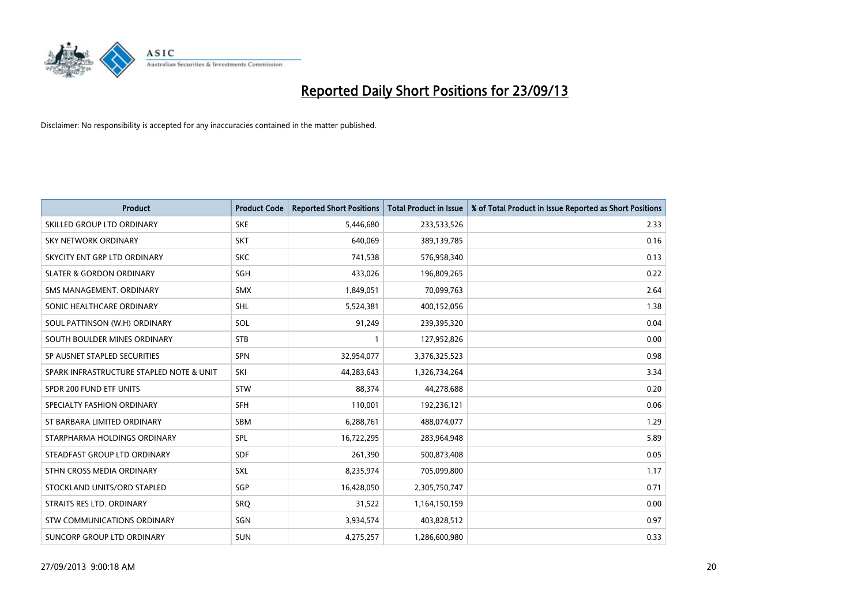

| <b>Product</b>                           | <b>Product Code</b> | <b>Reported Short Positions</b> | <b>Total Product in Issue</b> | % of Total Product in Issue Reported as Short Positions |
|------------------------------------------|---------------------|---------------------------------|-------------------------------|---------------------------------------------------------|
| SKILLED GROUP LTD ORDINARY               | <b>SKE</b>          | 5,446,680                       | 233,533,526                   | 2.33                                                    |
| SKY NETWORK ORDINARY                     | <b>SKT</b>          | 640,069                         | 389,139,785                   | 0.16                                                    |
| SKYCITY ENT GRP LTD ORDINARY             | <b>SKC</b>          | 741,538                         | 576,958,340                   | 0.13                                                    |
| <b>SLATER &amp; GORDON ORDINARY</b>      | SGH                 | 433,026                         | 196,809,265                   | 0.22                                                    |
| SMS MANAGEMENT, ORDINARY                 | <b>SMX</b>          | 1,849,051                       | 70,099,763                    | 2.64                                                    |
| SONIC HEALTHCARE ORDINARY                | <b>SHL</b>          | 5,524,381                       | 400,152,056                   | 1.38                                                    |
| SOUL PATTINSON (W.H) ORDINARY            | SOL                 | 91,249                          | 239,395,320                   | 0.04                                                    |
| SOUTH BOULDER MINES ORDINARY             | <b>STB</b>          | $\mathbf{1}$                    | 127,952,826                   | 0.00                                                    |
| SP AUSNET STAPLED SECURITIES             | <b>SPN</b>          | 32,954,077                      | 3,376,325,523                 | 0.98                                                    |
| SPARK INFRASTRUCTURE STAPLED NOTE & UNIT | SKI                 | 44,283,643                      | 1,326,734,264                 | 3.34                                                    |
| SPDR 200 FUND ETF UNITS                  | <b>STW</b>          | 88,374                          | 44,278,688                    | 0.20                                                    |
| SPECIALTY FASHION ORDINARY               | <b>SFH</b>          | 110,001                         | 192,236,121                   | 0.06                                                    |
| ST BARBARA LIMITED ORDINARY              | <b>SBM</b>          | 6,288,761                       | 488,074,077                   | 1.29                                                    |
| STARPHARMA HOLDINGS ORDINARY             | SPL                 | 16,722,295                      | 283,964,948                   | 5.89                                                    |
| STEADFAST GROUP LTD ORDINARY             | <b>SDF</b>          | 261,390                         | 500,873,408                   | 0.05                                                    |
| STHN CROSS MEDIA ORDINARY                | <b>SXL</b>          | 8,235,974                       | 705,099,800                   | 1.17                                                    |
| STOCKLAND UNITS/ORD STAPLED              | SGP                 | 16,428,050                      | 2,305,750,747                 | 0.71                                                    |
| STRAITS RES LTD. ORDINARY                | SRO                 | 31,522                          | 1,164,150,159                 | 0.00                                                    |
| STW COMMUNICATIONS ORDINARY              | SGN                 | 3,934,574                       | 403,828,512                   | 0.97                                                    |
| SUNCORP GROUP LTD ORDINARY               | <b>SUN</b>          | 4,275,257                       | 1,286,600,980                 | 0.33                                                    |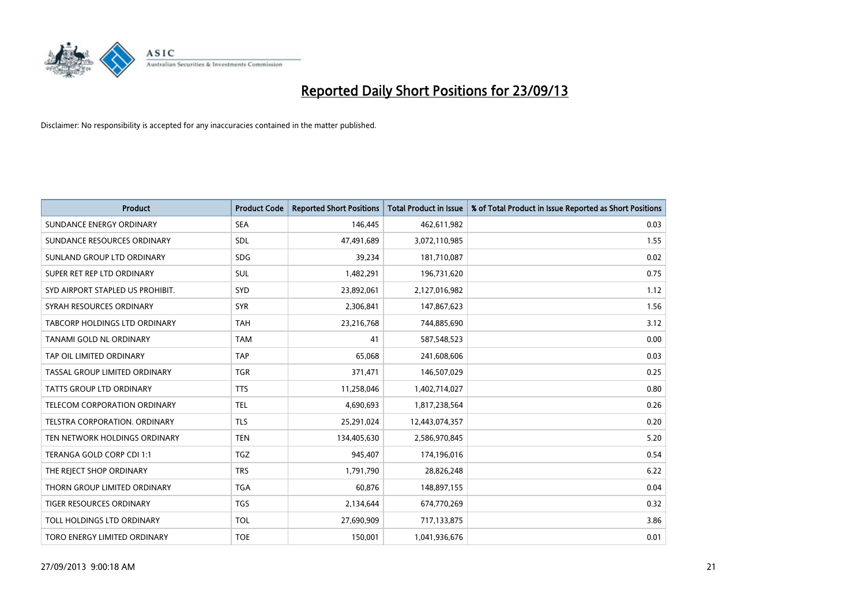

| <b>Product</b>                   | <b>Product Code</b> | <b>Reported Short Positions</b> | <b>Total Product in Issue</b> | % of Total Product in Issue Reported as Short Positions |
|----------------------------------|---------------------|---------------------------------|-------------------------------|---------------------------------------------------------|
| SUNDANCE ENERGY ORDINARY         | <b>SEA</b>          | 146,445                         | 462,611,982                   | 0.03                                                    |
| SUNDANCE RESOURCES ORDINARY      | <b>SDL</b>          | 47,491,689                      | 3,072,110,985                 | 1.55                                                    |
| SUNLAND GROUP LTD ORDINARY       | <b>SDG</b>          | 39,234                          | 181,710,087                   | 0.02                                                    |
| SUPER RET REP LTD ORDINARY       | <b>SUL</b>          | 1,482,291                       | 196,731,620                   | 0.75                                                    |
| SYD AIRPORT STAPLED US PROHIBIT. | SYD                 | 23,892,061                      | 2,127,016,982                 | 1.12                                                    |
| SYRAH RESOURCES ORDINARY         | <b>SYR</b>          | 2,306,841                       | 147,867,623                   | 1.56                                                    |
| TABCORP HOLDINGS LTD ORDINARY    | <b>TAH</b>          | 23,216,768                      | 744,885,690                   | 3.12                                                    |
| TANAMI GOLD NL ORDINARY          | <b>TAM</b>          | 41                              | 587,548,523                   | 0.00                                                    |
| TAP OIL LIMITED ORDINARY         | <b>TAP</b>          | 65,068                          | 241,608,606                   | 0.03                                                    |
| TASSAL GROUP LIMITED ORDINARY    | <b>TGR</b>          | 371,471                         | 146,507,029                   | 0.25                                                    |
| TATTS GROUP LTD ORDINARY         | <b>TTS</b>          | 11,258,046                      | 1,402,714,027                 | 0.80                                                    |
| TELECOM CORPORATION ORDINARY     | <b>TEL</b>          | 4,690,693                       | 1,817,238,564                 | 0.26                                                    |
| TELSTRA CORPORATION, ORDINARY    | <b>TLS</b>          | 25,291,024                      | 12,443,074,357                | 0.20                                                    |
| TEN NETWORK HOLDINGS ORDINARY    | <b>TEN</b>          | 134,405,630                     | 2,586,970,845                 | 5.20                                                    |
| TERANGA GOLD CORP CDI 1:1        | <b>TGZ</b>          | 945,407                         | 174,196,016                   | 0.54                                                    |
| THE REJECT SHOP ORDINARY         | <b>TRS</b>          | 1,791,790                       | 28,826,248                    | 6.22                                                    |
| THORN GROUP LIMITED ORDINARY     | <b>TGA</b>          | 60,876                          | 148,897,155                   | 0.04                                                    |
| TIGER RESOURCES ORDINARY         | <b>TGS</b>          | 2,134,644                       | 674,770,269                   | 0.32                                                    |
| TOLL HOLDINGS LTD ORDINARY       | <b>TOL</b>          | 27,690,909                      | 717,133,875                   | 3.86                                                    |
| TORO ENERGY LIMITED ORDINARY     | <b>TOE</b>          | 150,001                         | 1,041,936,676                 | 0.01                                                    |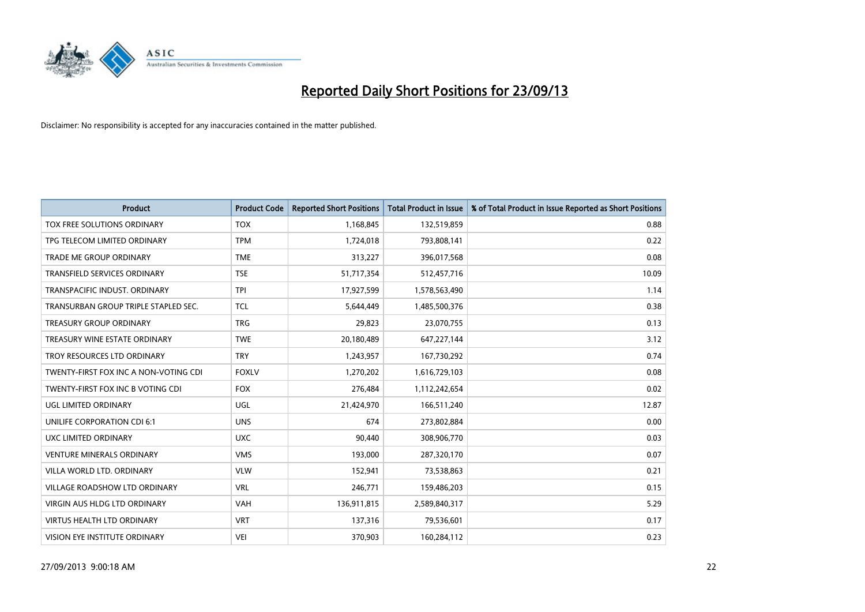

| <b>Product</b>                        | <b>Product Code</b> | <b>Reported Short Positions</b> | <b>Total Product in Issue</b> | % of Total Product in Issue Reported as Short Positions |
|---------------------------------------|---------------------|---------------------------------|-------------------------------|---------------------------------------------------------|
| TOX FREE SOLUTIONS ORDINARY           | <b>TOX</b>          | 1,168,845                       | 132,519,859                   | 0.88                                                    |
| TPG TELECOM LIMITED ORDINARY          | <b>TPM</b>          | 1,724,018                       | 793,808,141                   | 0.22                                                    |
| <b>TRADE ME GROUP ORDINARY</b>        | <b>TME</b>          | 313,227                         | 396,017,568                   | 0.08                                                    |
| TRANSFIELD SERVICES ORDINARY          | <b>TSE</b>          | 51,717,354                      | 512,457,716                   | 10.09                                                   |
| TRANSPACIFIC INDUST, ORDINARY         | <b>TPI</b>          | 17,927,599                      | 1,578,563,490                 | 1.14                                                    |
| TRANSURBAN GROUP TRIPLE STAPLED SEC.  | <b>TCL</b>          | 5,644,449                       | 1,485,500,376                 | 0.38                                                    |
| <b>TREASURY GROUP ORDINARY</b>        | <b>TRG</b>          | 29,823                          | 23,070,755                    | 0.13                                                    |
| TREASURY WINE ESTATE ORDINARY         | <b>TWE</b>          | 20,180,489                      | 647,227,144                   | 3.12                                                    |
| TROY RESOURCES LTD ORDINARY           | <b>TRY</b>          | 1,243,957                       | 167,730,292                   | 0.74                                                    |
| TWENTY-FIRST FOX INC A NON-VOTING CDI | <b>FOXLV</b>        | 1,270,202                       | 1,616,729,103                 | 0.08                                                    |
| TWENTY-FIRST FOX INC B VOTING CDI     | <b>FOX</b>          | 276,484                         | 1,112,242,654                 | 0.02                                                    |
| UGL LIMITED ORDINARY                  | UGL                 | 21,424,970                      | 166,511,240                   | 12.87                                                   |
| UNILIFE CORPORATION CDI 6:1           | <b>UNS</b>          | 674                             | 273,802,884                   | 0.00                                                    |
| <b>UXC LIMITED ORDINARY</b>           | <b>UXC</b>          | 90,440                          | 308,906,770                   | 0.03                                                    |
| <b>VENTURE MINERALS ORDINARY</b>      | <b>VMS</b>          | 193,000                         | 287,320,170                   | 0.07                                                    |
| VILLA WORLD LTD, ORDINARY             | <b>VLW</b>          | 152,941                         | 73,538,863                    | 0.21                                                    |
| VILLAGE ROADSHOW LTD ORDINARY         | <b>VRL</b>          | 246,771                         | 159,486,203                   | 0.15                                                    |
| VIRGIN AUS HLDG LTD ORDINARY          | <b>VAH</b>          | 136,911,815                     | 2,589,840,317                 | 5.29                                                    |
| <b>VIRTUS HEALTH LTD ORDINARY</b>     | <b>VRT</b>          | 137,316                         | 79,536,601                    | 0.17                                                    |
| VISION EYE INSTITUTE ORDINARY         | <b>VEI</b>          | 370,903                         | 160,284,112                   | 0.23                                                    |